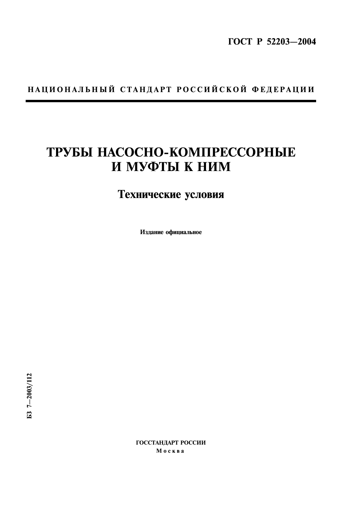# НАЦИОНАЛЬНЫЙ СТАНДАРТ РОССИЙСКОЙ ФЕДЕРАЦИИ

# ТРУБЫ НАСОСНО-КОМПРЕССОРНЫЕ И МУФТЫ К НИМ

# Технические условия

Издание официальное

ГОССТАНДАРТ РОССИИ Москва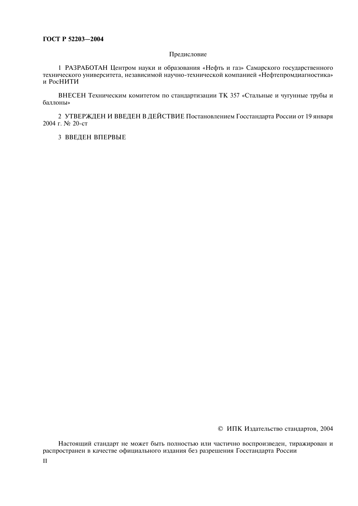#### Предисловие

1 РАЗРАБОТАН Центром науки и образования «Нефть и газ» Самарского государственного технического университета, независимой научно-технической компанией «Нефтепромдиагностика» и РосНИТИ

ВНЕСЕН Техническим комитетом по стандартизации ТК 357 «Стальные и чугунные трубы и баллоны»

2 УТВЕРЖДЕН И ВВЕДЕН В ДЕЙСТВИЕ Постановлением Госстандарта России от 19 января 2004 г. № 20-ст

3 ВВЕДЕН ВПЕРВЫЕ

© ИПК Издательство стандартов, 2004

Настоящий стандарт не может быть полностью или частично воспроизведен, тиражирован и распространен в качестве официального издания без разрешения Госстандарта России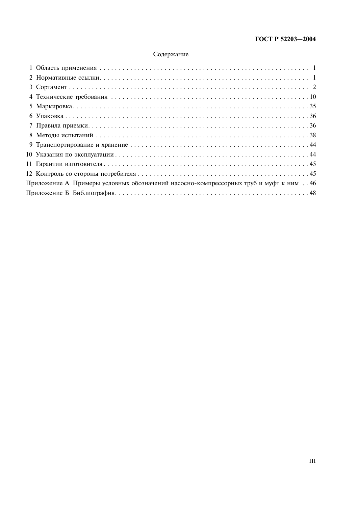# Содержание

| Приложение А Примеры условных обозначений насосно-компрессорных труб и муфт к ним46 |
|-------------------------------------------------------------------------------------|
|                                                                                     |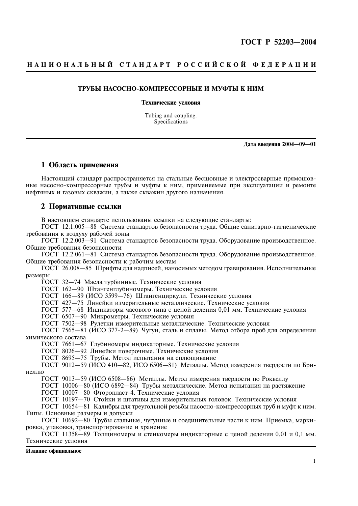### НАЦИОНАЛЬНЫЙ СТАНДАРТ РОССИЙСКОЙ ФЕДЕРАЦИИ

#### ТРУБЫ НАСОСНО-КОМПРЕССОРНЫЕ И МУФТЫ К НИМ

#### Технические условия

Tubing and coupling. Specifications

Дата введения 2004-09-01

#### 1 Область применения

Настоящий стандарт распространяется на стальные бесшовные и электросварные прямошовные насосно-компрессорные трубы и муфты к ним, применяемые при эксплуатации и ремонте нефтяных и газовых скважин, а также скважин другого назначения.

#### 2 Нормативные ссылки

В настоящем стандарте использованы ссылки на следующие стандарты:

ГОСТ 12.1.005-88 Система стандартов безопасности труда. Общие санитарно-гигиенические требования к воздуху рабочей зоны

ГОСТ 12.2.003-91 Система стандартов безопасности труда. Оборудование производственное. Обшие требования безопасности

ГОСТ 12.2.061-81 Система стандартов безопасности труда. Оборудование производственное. Общие требования безопасности к рабочим местам

ГОСТ 26.008-85 Шрифты для надписей, наносимых методом гравирования. Исполнительные размеры

ГОСТ 32-74 Масла турбинные. Технические условия

ГОСТ 162-90 Штангенглубиномеры. Технические условия

ГОСТ 166-89 (ИСО 3599-76) Штангенциркули. Технические условия

ГОСТ 427-75 Линейки измерительные металлические. Технические условия

ГОСТ 577-68 Индикаторы часового типа с ценой деления 0,01 мм. Технические условия

ГОСТ 6507-90 Микрометры. Технические условия

ГОСТ 7502-98 Рулетки измерительные металлические. Технические условия<br>ГОСТ 7565-81 (ИСО 377-2-89) Чугун, сталь и сплавы. Метод отбора проб для определения химического состава

ГОСТ 7661-67 Глубиномеры индикаторные. Технические условия

ГОСТ 8026-92 Линейки поверочные. Технические условия

ГОСТ 8695-75 Трубы. Метод испытания на сплющивание

ГОСТ 9012-59 (ИСО 410-82, ИСО 6506-81) Металлы. Метод измерения твердости по Бринеллю

ГОСТ 9013-59 (ИСО 6508-86) Металлы. Метод измерения твердости по Роквеллу

ГОСТ 10006-80 (ИСО 6892-84) Трубы металлические. Метод испытания на растяжение

ГОСТ 10007-80 Фторопласт-4. Технические условия

ГОСТ 10197-70 Стойки и штативы для измерительных головок. Технические условия

ГОСТ 10654-81 Калибры для треугольной резьбы насосно-компрессорных труб и муфт к ним. Типы. Основные размеры и допуски

ГОСТ 10692-80 Трубы стальные, чугунные и соединительные части к ним. Приемка, маркировка, упаковка, транспортирование и хранение

ГОСТ 11358-89 Толщиномеры и стенкомеры индикаторные с ценой деления 0.01 и 0.1 мм. Технические условия

Издание официальное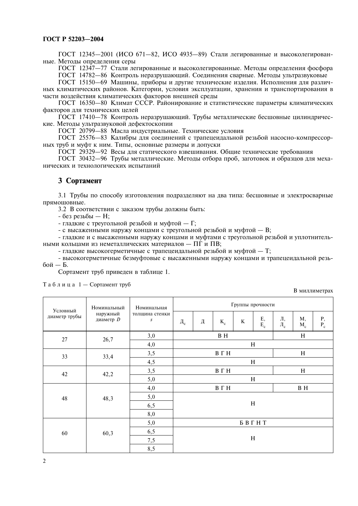ГОСТ 12345-2001 (ИСО 671-82, ИСО 4935-89) Стали легированные и высоколегированные. Методы определения серы

ГОСТ 12347-77 Стали легированные и высоколегированные. Методы определения фосфора

ГОСТ 14782-86 Контроль неразрушающий. Соединения сварные. Методы ультразвуковые

ГОСТ 15150-69 Машины, приборы и другие технические изделия. Исполнения для различных климатических районов. Категории, условия эксплуатации, хранения и транспортирования в

части воздействия климатических факторов внешней среды

ГОСТ 16350-80 Климат СССР. Районирование и статистические параметры климатических факторов для технических целей

ГОСТ 17410-78 Контроль неразрушающий. Трубы металлические бесшовные цилиндрические. Методы ультразвуковой дефектоскопии

ГОСТ 20799-88 Масла индустриальные. Технические условия

ГОСТ 25576-83 Калибры для соединений с трапецеидальной резьбой насосно-компрессорных труб и муфт к ним. Типы, основные размеры и допуски

ГОСТ 29329-92 Весы для статического взвешивания. Общие технические требования

ГОСТ 30432-96 Трубы металлические. Методы отбора проб, заготовок и образцов для механических и технологических испытаний

#### 3 Сортамент

3.1 Трубы по способу изготовления подразделяют на два типа: бесшовные и электросварные прямошовные.

3.2 В соответствии с заказом трубы должны быть:

- без резьбы — Н;

- гладкие с треугольной резьбой и муфтой - Г;

- с высаженными наружу концами с треугольной резьбой и муфтой - В;

- гладкие и с высаженными наружу концами и муфтами с треугольной резьбой и уплотнительными кольцами из неметаллических материалов - ПГ и ПВ;

- гладкие высокогерметичные с трапецеидальной резьбой и муфтой - Т;

- высокогерметичные безмуфтовые с высаженными наружу концами и трапецеидальной резь- $60$ й — Б.

Сортамент труб привелен в таблице 1.

Таблица 1 — Сортамент труб

В миллиметрах

| Условный      | Номинальный           | Номинальная                        | Группы прочности   |   |       |         |                           |                            |             |                      |  |  |
|---------------|-----------------------|------------------------------------|--------------------|---|-------|---------|---------------------------|----------------------------|-------------|----------------------|--|--|
| диаметр трубы | наружный<br>диаметр D | толщина стенки<br>$\boldsymbol{S}$ | $\rm \mathit{A}_c$ | Д | $K_c$ | $\bf K$ | $\frac{\rm E}{\rm E_c}$   | Л,<br>$\mathbf{J}_{\rm c}$ | M,<br>$M_c$ | $\Pr_{\mathbf{P_c}}$ |  |  |
| 27            | 26,7                  | 3,0                                |                    |   | B H   |         |                           |                            | H           |                      |  |  |
|               |                       | 4,0                                |                    |   |       |         | H                         |                            |             |                      |  |  |
| 33            | 33,4                  | 3,5                                |                    |   | BΓH   |         |                           |                            | H           |                      |  |  |
|               |                       | 4,5                                | H                  |   |       |         |                           |                            |             |                      |  |  |
| 42            | 42,2                  | 3,5                                | BΓH<br>H           |   |       |         |                           |                            |             |                      |  |  |
|               |                       | 5,0                                | H                  |   |       |         |                           |                            |             |                      |  |  |
|               |                       | 4,0                                | ВГН<br><b>BH</b>   |   |       |         |                           |                            |             |                      |  |  |
| 48            | 48,3                  | 5,0                                |                    |   |       |         |                           |                            |             |                      |  |  |
|               |                       | 6,5                                |                    |   |       |         | $\boldsymbol{\mathrm{H}}$ |                            |             |                      |  |  |
|               |                       | 8,0                                |                    |   |       |         |                           |                            |             |                      |  |  |
|               |                       | 5,0                                |                    |   |       |         | БВГНТ                     |                            |             |                      |  |  |
| 60            | 60,3                  | 6,5                                |                    |   |       |         |                           |                            |             |                      |  |  |
|               |                       | 7,5                                |                    |   |       |         | H                         |                            |             |                      |  |  |
|               |                       | 8,5                                |                    |   |       |         |                           |                            |             |                      |  |  |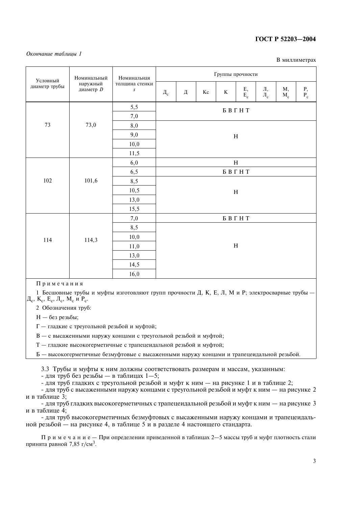#### Окончание таблицы 1

В миллиметрах

| Условный      | Номинальный                  | Номинальная                        |                            |       |          | Группы прочности |                            |                                |             |                                   |  |  |
|---------------|------------------------------|------------------------------------|----------------------------|-------|----------|------------------|----------------------------|--------------------------------|-------------|-----------------------------------|--|--|
| диаметр трубы | наружный<br>диаметр <i>D</i> | толщина стенки<br>$\boldsymbol{S}$ | $\rm \mathit{A}_c$         | Д     | $\rm Kc$ | $\bf K$          | $\mathop{\rm E{}}_{\rm c}$ | Л,<br>$\overline{\Pi}_{\rm c}$ | M,<br>$M_c$ | $\frac{\mathbf{P}}{\mathbf{P_c}}$ |  |  |
|               |                              | 5,5                                |                            | БВГНТ |          |                  |                            |                                |             |                                   |  |  |
|               |                              | $_{7,0}$                           |                            |       |          |                  |                            |                                |             |                                   |  |  |
| $73\,$        | 73,0                         |                                    |                            |       |          |                  |                            |                                |             |                                   |  |  |
|               |                              | 9,0                                |                            |       |          |                  | $\, {\rm H}$               |                                |             |                                   |  |  |
|               |                              | 10,0                               |                            |       |          |                  |                            |                                |             |                                   |  |  |
|               |                              |                                    |                            |       |          |                  |                            |                                |             |                                   |  |  |
|               |                              | 6,0                                | $\, {\bf H}$               |       |          |                  |                            |                                |             |                                   |  |  |
|               |                              | 6,5                                | $\mathbf B$ B $\Gamma$ H T |       |          |                  |                            |                                |             |                                   |  |  |
| 102           | 101,6                        | 8,5                                |                            |       |          |                  |                            |                                |             |                                   |  |  |
|               |                              | 10,5                               | H                          |       |          |                  |                            |                                |             |                                   |  |  |
|               |                              | 13,0                               |                            |       |          |                  |                            |                                |             |                                   |  |  |
|               |                              | 15,5                               |                            |       |          |                  |                            |                                |             |                                   |  |  |
|               |                              | 7,0                                |                            |       |          |                  | БВГНТ                      |                                |             |                                   |  |  |
|               |                              | 8,5                                |                            |       |          |                  |                            |                                |             |                                   |  |  |
| 114           | 114,3                        | 10,0                               |                            |       |          |                  |                            |                                |             |                                   |  |  |
|               |                              | 11,0                               |                            |       |          | $\, {\rm H}$     |                            |                                |             |                                   |  |  |
|               |                              | 13,0                               |                            |       |          |                  |                            |                                |             |                                   |  |  |
|               | 14,5                         |                                    |                            |       |          |                  |                            |                                |             |                                   |  |  |
|               | 16,0                         |                                    |                            |       |          |                  |                            |                                |             |                                   |  |  |

Примечания

1 Бесшовные трубы и муфты изготовляют групп прочности Д, К, Е, Л, М и Р; электросварные трубы -Д<sub>с</sub>, К<sub>с</sub>, Е<sub>с</sub>, Л<sub>с</sub>, М<sub>с</sub> и Р<sub>с</sub>.

2 Обозначения труб:

H - без резьбы;

Г - гладкие с треугольной резьбой и муфтой;

В - с высаженными наружу концами с треугольной резьбой и муфтой;

T - гладкие высокогерметичные с трапецеидальной резьбой и муфтой;

Б — высокогерметичные безмуфтовые с высаженными наружу концами и трапецеидальной резьбой.

3.3 Трубы и муфты к ним должны соответствовать размерам и массам, указанным:

- для труб без резьбы — в таблицах  $1-5$ ;

- для труб гладких с треугольной резьбой и муфт к ним — на рисунке 1 и в таблице 2;

- для труб с высаженными наружу концами с треугольной резьбой и муфт к ним - на рисунке 2 и в таблице 3;

- для труб гладких высокогерметичных с трапецеидальной резьбой и муфт к ним - на рисунке 3 и в таблице 4;

- для труб высокогерметичных безмуфтовых с высаженными наружу концами и трапецеидальной резьбой — на рисунке 4, в таблице 5 и в разделе 4 настоящего стандарта.

Примечание – Приопределении приведенной в таблицах 2–5 массы труб и муфт плотность стали принята равной 7,85 г/см<sup>3</sup>.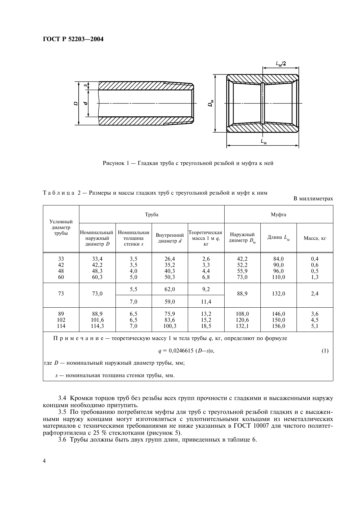

Рисунок 1 - Гладкая труба с треугольной резьбой и муфта к ней

|  |  |  | Таблица 2 — Размеры и массы гладких труб с треугольной резьбой и муфт к ним |  |
|--|--|--|-----------------------------------------------------------------------------|--|
|  |  |  |                                                                             |  |

В миллиметрах

| Условный                                                                                                       |                                        |                                    | Труба                          | Муфта                                  |                                 |                               |                                  |  |
|----------------------------------------------------------------------------------------------------------------|----------------------------------------|------------------------------------|--------------------------------|----------------------------------------|---------------------------------|-------------------------------|----------------------------------|--|
| диаметр<br>трубы                                                                                               | Номинальный<br>наружный<br>диаметр $D$ | Номинальная<br>толщина<br>стенки s | Внутренний<br>диаметр <i>d</i> | Теоретическая<br>масса 1 м $q$ ,<br>KГ | Наружный<br>диаметр $D_{\rm M}$ | Длина $L_{\rm M}$             | Масса, кг                        |  |
| 33<br>42<br>48<br>60                                                                                           | 33,4<br>42,2<br>48,3<br>60,3           | $3,5$<br>$3,5$<br>4,0<br>5,0       | 26,4<br>35,2<br>40,3<br>50,3   | $^{2,6}_{3,3}$<br>4,4<br>6,8           | 42,2<br>52,2<br>55,9<br>73,0    | 84,0<br>90,0<br>96,0<br>110,0 | $0,4$<br>$0,6$<br>$0,5$<br>$1,3$ |  |
| 73                                                                                                             | 73,0                                   | 5,5<br>7,0                         | 62,0<br>59,0                   | 9,2<br>11,4                            | 88,9                            | 132,0                         | 2,4                              |  |
| 89<br>102<br>114                                                                                               | 88,9<br>101,6<br>114,3                 | 6,5<br>6,5<br>7,0                  | 75,9<br>83,6<br>100,3          | 13,2<br>15,2<br>18,5                   | 108,0<br>120,6<br>132,1         | 146,0<br>150,0<br>156,0       | 3,6<br>$4,5$<br>$5,1$            |  |
| Примечание — теоретическую массу 1 м тела трубы q, кг, определяют по формуле<br>$q = 0.0246615$ (D-s)s,<br>(1) |                                        |                                    |                                |                                        |                                 |                               |                                  |  |

где  $D$  — номинальный наружный диаметр трубы, мм;

s - номинальная толщина стенки трубы, мм.

3.4 Кромки торцов труб без резьбы всех групп прочности с гладкими и высаженными наружу концами необходимо притупить.

3.5 По требованию потребителя муфты для труб с треугольной резьбой гладких и с высаженными наружу концами могут изготовляться с уплотнительными кольцами из неметаллических материалов с техническими требованиями не ниже указанных в ГОСТ 10007 для чистого политетрафторэтилена с 25 % стеклоткани (рисунок 5).

3.6 Трубы должны быть двух групп длин, приведенных в таблице 6.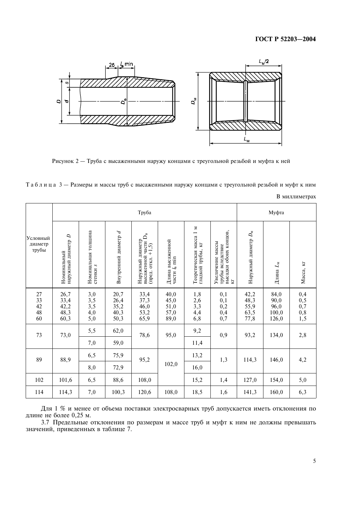

Рисунок 2 — Труба с высаженными наружу концами с треугольной резьбой и муфта к ней

| Таблица 3 - Размеры и массы труб с высаженными наружу концами с треугольной резьбой и муфт к ним |  |  |  |  |  |
|--------------------------------------------------------------------------------------------------|--|--|--|--|--|
|                                                                                                  |  |  |  |  |  |

|                                    |                                            |                                         |                                              | Труба                                                                   |                                              |                                                                |                                                                    |                                            | Муфта                                  |                                           |
|------------------------------------|--------------------------------------------|-----------------------------------------|----------------------------------------------|-------------------------------------------------------------------------|----------------------------------------------|----------------------------------------------------------------|--------------------------------------------------------------------|--------------------------------------------|----------------------------------------|-------------------------------------------|
| Условный<br>диаметр<br>трубы       | наружный диаметр $D$<br>Номинальный        | Номинальная толщина<br>стенки s         | Внутренний диаметр $d$                       | высаженной части $D_B$<br>Наружный диаметр<br>$+1,5$<br>откл.<br>(пред. | Длина высаженной<br>части l <sub>в</sub> min | z<br>Теоретическая масса 1<br>гладкой трубы, кг                | высадки обоих концов,<br>Увеличение массы<br>трубы вследствие<br>Ā | Наружный диаметр $D_M$                     | Длина $L_M$                            | Масса, кг                                 |
| 27<br>$33$<br>$42$<br>$48$<br>$60$ | $^{26,7}_{33,4}$<br>$42,2$<br>48,3<br>60,3 | $3,0$<br>$3,5$<br>$3,5$<br>$4,0$<br>5,0 | $20,7$<br>$26,4$<br>$35,2$<br>$40,3$<br>50,3 | 33,4<br>$\begin{array}{c} 37,3 \\ 46,0 \\ 53,2 \end{array}$<br>65,9     | 40,0<br>$45,0$<br>$51,0$<br>57,0<br>89,0     | $\begin{array}{c} 1,8 \\ 2,6 \\ 3,3 \end{array}$<br>4,4<br>6,8 | 0,1<br>$0,1$<br>$0,2$<br>0,4<br>0,7                                | $42,2$<br>$48,3$<br>$55,9$<br>63,5<br>77,8 | 84,0<br>90,0<br>96,0<br>100,0<br>126,0 | $0,4$<br>$0,5$<br>$0,7$<br>$0,8$<br>$1,5$ |
| 73                                 | 73,0                                       | 5,5<br>7,0                              | 62,0<br>59,0                                 | 78,6                                                                    | 95,0                                         | 9,2<br>11,4                                                    | 0,9                                                                | 93,2                                       | 134,0                                  | 2,8                                       |
| 89                                 | 88,9                                       | 6,5                                     | 75,9                                         | 95,2                                                                    |                                              | 13,2                                                           | 1,3                                                                | 114,3                                      | 146,0                                  | 4,2                                       |
|                                    |                                            | 8,0                                     | 72,9                                         |                                                                         | 102,0                                        | 16,0                                                           |                                                                    |                                            |                                        |                                           |
| 102                                | 101,6                                      | 6,5                                     | 88,6                                         | 108,0                                                                   |                                              | 15,2                                                           | 1,4                                                                | 127,0                                      | 154,0                                  | 5,0                                       |
| 114                                | 114,3                                      | 7,0                                     | 100,3                                        | 120,6                                                                   | 108,0                                        | 18,5                                                           | 1,6                                                                | 141,3                                      | 160,0                                  | 6,3                                       |

Для 1 % и менее от объема поставки электросварных труб допускается иметь отклонения по длине не более 0,25 м.

3.7 Предельные отклонения по размерам и массе труб и муфт к ним не должны превышать значений, приведенных в таблице 7.

В миллиметрах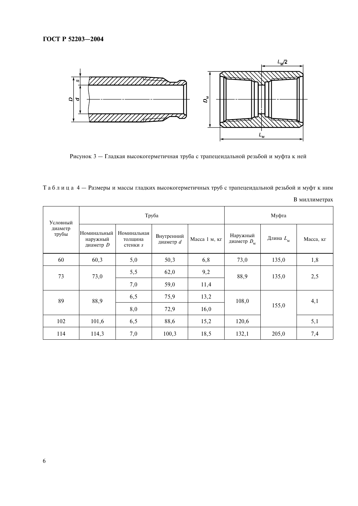

Рисунок 3 - Гладкая высокогерметичная труба с трапецеидальной резьбой и муфта к ней

Таблица 4 - Размеры и массы гладких высокогерметичных труб с трапецеидальной резьбой и муфт к ним

| Условный         |                                        | Труба                              |                         | Муфта         |                                 |                   |           |  |
|------------------|----------------------------------------|------------------------------------|-------------------------|---------------|---------------------------------|-------------------|-----------|--|
| диаметр<br>трубы | Номинальный<br>наружный<br>диаметр $D$ | Номинальная<br>толщина<br>стенки s | Внутренний<br>диаметр d | Масса 1 м, кг | Наружный<br>диаметр $D_{\rm M}$ | Длина $L_{\rm M}$ | Масса, кг |  |
| 60               | 60,3                                   | 5,0                                | 50,3                    | 6,8           | 73,0                            | 135,0             | 1,8       |  |
| 73               | 73,0                                   | 5,5                                | 62,0                    | 9,2           | 88,9                            | 135,0             | 2,5       |  |
|                  |                                        | 7,0                                | 59,0                    | 11,4          |                                 |                   |           |  |
| 89               | 88,9                                   | 6,5                                | 75,9                    | 13,2          | 108,0                           |                   | 4,1       |  |
|                  |                                        | 8,0                                | 72,9                    | 16,0          |                                 | 155,0             |           |  |
| 102              | 101,6                                  | 6,5                                | 88,6                    | 15,2          | 120,6                           |                   | 5,1       |  |
| 114              | 114,3                                  | 7,0                                | 100,3                   | 18,5          | 132,1                           | 205,0             | 7,4       |  |

В миллиметрах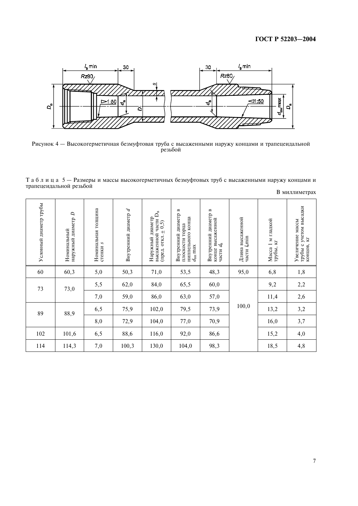

Рисунок 4 - Высокогерметичная безмуфтовая труба с высаженными наружу концами и трапецеидальной резьбой

Таблица 5 - Размеры и массы высокогерметичных безмуфтовых труб с высаженными наружу концами и трапецеидальной резьбой

| Условный диаметр трубы | D<br>наружный диаметр<br>Номинальный | Номинальная толщина<br>стенки s | Внутренний диаметр $d$ | $\vec{D}_\text{B}$<br>Наружный диаметр<br>части<br>(0,5)<br>(пред. откл. ±<br>высаженной | $\mathbf{u}$<br>Внутренний диаметр<br>ниппельного конца<br>плоскости торца<br>$d_{\rm BH}$ max | $\mathbf{u}$<br>Внутренний диаметр<br>высаженной<br>$d_{\rm B}$<br>конце<br>части | Длина высаженной<br>части l <sub>B</sub> min | м гладкой<br>K<br>$\overline{\phantom{0}}$<br>Масса<br>трубы, | учетом высадки<br>Увеличение массы<br>N<br>трубы с<br>концов, |
|------------------------|--------------------------------------|---------------------------------|------------------------|------------------------------------------------------------------------------------------|------------------------------------------------------------------------------------------------|-----------------------------------------------------------------------------------|----------------------------------------------|---------------------------------------------------------------|---------------------------------------------------------------|
| 60                     | 60,3                                 | 5,0                             | 50,3                   | 71,0                                                                                     | 53,5                                                                                           | 48,3                                                                              | 95,0                                         | 6,8                                                           | 1,8                                                           |
| 73                     | 73,0                                 | 5,5                             | 62,0                   | 84,0                                                                                     | 65,5                                                                                           | 60,0                                                                              |                                              | 9,2                                                           | 2,2                                                           |
|                        |                                      | 7,0                             | 59,0                   | 86,0                                                                                     | 63,0                                                                                           | 57,0                                                                              |                                              | 11,4                                                          | 2,6                                                           |
| 89                     | 88,9                                 | 6,5                             | 75,9                   | 102,0                                                                                    | 79,5                                                                                           | 73,9                                                                              | 100,0                                        | 13,2                                                          | 3,2                                                           |
|                        |                                      | 8,0                             | 72,9                   | 104,0                                                                                    | 77,0                                                                                           | 70,9                                                                              |                                              | 16,0                                                          | 3,7                                                           |
| 102                    | 101,6                                | 6,5                             | 88,6                   | 116,0                                                                                    | 92,0                                                                                           | 86,6                                                                              |                                              | 15,2                                                          | 4,0                                                           |
| 114                    | 114,3                                | 7,0                             | 100,3                  | 130,0                                                                                    | 104,0                                                                                          | 98,3                                                                              |                                              | 18,5                                                          | 4,8                                                           |

В миллиметрах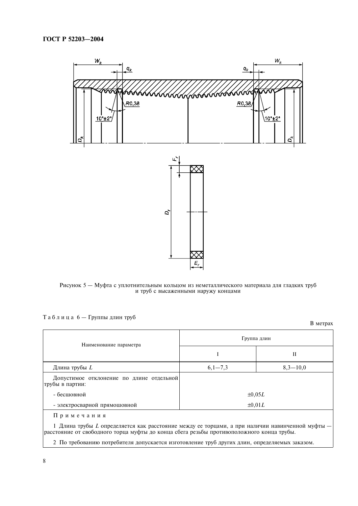

Рисунок 5 — Муфта с уплотнительным кольцом из неметаллического материала для гладких труб и труб с высаженными наружу концами

|  |  |  |  |  |  |  |  |  | Таблица 6 — Группы длин труб |  |  |
|--|--|--|--|--|--|--|--|--|------------------------------|--|--|
|--|--|--|--|--|--|--|--|--|------------------------------|--|--|

В метрах

| Наименование параметра                                                                                                                                                                                                                                                                                      | Группа длин |             |  |  |  |  |
|-------------------------------------------------------------------------------------------------------------------------------------------------------------------------------------------------------------------------------------------------------------------------------------------------------------|-------------|-------------|--|--|--|--|
|                                                                                                                                                                                                                                                                                                             |             | П           |  |  |  |  |
| Длина трубы L                                                                                                                                                                                                                                                                                               | $6,1-7,3$   | $8,3-10,0$  |  |  |  |  |
| Допустимое отклонение по длине отдельной<br>трубы в партии:                                                                                                                                                                                                                                                 |             |             |  |  |  |  |
| - бесшовной                                                                                                                                                                                                                                                                                                 | $\pm 0.05L$ |             |  |  |  |  |
| - электросварной прямошовной                                                                                                                                                                                                                                                                                |             | $\pm 0.01L$ |  |  |  |  |
| Примечания<br>1 Длина трубы L определяется как расстояние между ее торцами, а при наличии навинченной муфты $-$<br>расстояние от свободного торца муфты до конца сбега резьбы противоположного конца трубы.<br>2 По требованию потребителя допускается изготовление труб других длин, определяемых заказом. |             |             |  |  |  |  |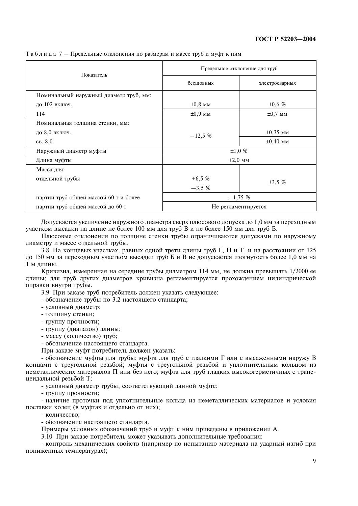| Показатель                             |                     | Предельное отклонение для труб |  |  |  |
|----------------------------------------|---------------------|--------------------------------|--|--|--|
|                                        | бесшовных           | электросварных                 |  |  |  |
| Номинальный наружный диаметр труб, мм: |                     |                                |  |  |  |
| ло 102 включ.                          | $\pm 0.8$ MM        | ±0,6%                          |  |  |  |
| 114                                    | $\pm 0.9$ MM        | $\pm 0.7$ MM                   |  |  |  |
| Номинальная толщина стенки, мм:        |                     |                                |  |  |  |
| до 8,0 включ.                          | $-12,5%$            | $\pm 0.35$ MM                  |  |  |  |
| CB. 8,0                                |                     | $\pm 0,40$ MM                  |  |  |  |
| Наружный диаметр муфты                 | $\pm 1,0\%$         |                                |  |  |  |
| Длина муфты                            |                     | $\pm 2,0$ MM                   |  |  |  |
| Масса для:                             |                     |                                |  |  |  |
| отдельной трубы                        | $+6,5%$             | $\pm 3.5$ %                    |  |  |  |
|                                        | $-3.5\%$            |                                |  |  |  |
| партии труб общей массой 60 т и более  | $-1,75\%$           |                                |  |  |  |
| партии труб общей массой до 60 т       | Не регламентируется |                                |  |  |  |

Таблица 7 — Предельные отклонения по размерам и массе труб и муфт к ним

Лопускается увеличение наружного лиаметра сверх плюсового лопуска ло 1.0 мм за переходным участком высадки на длине не более 100 мм для труб В и не более 150 мм для труб Б.

Плюсовые отклонения по толшине стенки трубы ограничиваются допусками по наружному диаметру и массе отдельной трубы.

3.8 На концевых участках, равных одной трети длины труб Г, Н и Т, и на расстоянии от 125 до 150 мм за переходным участком высадки труб Б и В не допускается изогнутость более 1,0 мм на 1 м длины.

Кривизна, измеренная на середине трубы диаметром 114 мм, не должна превышать 1/2000 ее длины; для труб других диаметров кривизна регламентируется прохождением цилиндрической оправки внутри трубы.

3.9 При заказе труб потребитель должен указать следующее:

- обозначение трубы по 3.2 настоящего стандарта;

- условный диаметр:
- толщину стенки;
- группу прочности:
- группу (диапазон) длины:
- массу (количество) труб;
- обозначение настоящего стандарта.

При заказе муфт потребитель должен указать:

- обозначение муфты для трубы: муфта для труб с гладкими Г или с высаженными наружу В концами с треугольной резьбой; муфты с треугольной резьбой и уплотнительным кольцом из неметаллических материалов П или без него; муфта для труб гладких высокогерметичных с трапецеидальной резьбой Т;

- условный диаметр трубы, соответствующий данной муфте;

 $-$  группу прочности:

- наличие проточки под уплотнительные кольца из неметаллических материалов и условия поставки колец (в муфтах и отдельно от них);

- количество:

- обозначение настоящего стандарта.

Примеры условных обозначений труб и муфт к ним приведены в приложении А.

3.10 При заказе потребитель может указывать дополнительные требования:

- контроль механических свойств (например по испытанию материала на ударный изгиб при пониженных температурах);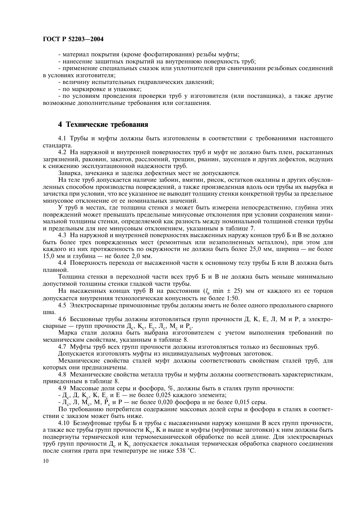- материал покрытия (кроме фосфатирования) резьбы муфты:

- нанесение защитных покрытий на внутреннюю поверхность труб;

- применение специальных смазок или уплотнителей при свинчивании резьбовых соединений в условиях изготовителя;

- величину испытательных гидравлических давлений;

- по маркировке и упаковке;

- по условиям проведения проверки труб у изготовителя (или поставщика), а также другие возможные дополнительные требования или соглашения.

#### 4 Технические требования

4.1 Трубы и муфты должны быть изготовлены в соответствии с требованиями настоящего станларта.

4.2 На наружной и внутренней поверхностях труб и муфт не должно быть плен, раскатанных загрязнений, раковин, закатов, расслоений, трещин, рванин, заусенцев и других дефектов, ведущих к снижению эксплуатационной надежности труб.

Заварка, зачеканка и заделка дефектных мест не допускаются.

На теле труб допускается наличие забоин, вмятин, рисок, остатков окалины и других обусловленных способом производства повреждений, а также произведенная вдоль оси трубы их вырубка и зачистка при условии, что все указанное не выводит толщину стенки конкретной трубы за предельное минусовое отклонение от ее номинальных значений.

У труб в местах, где толщина стенки *s* может быть измерена непосредственно, глубина этих повреждений может превышать предельные минусовые отклонения при условии сохранения минимальной толщины стенки, определяемой как разность между номинальной толщиной стенки трубы и предельным для нее минусовым отклонением, указанным в таблице 7.

4.3 На наружной и внутренней поверхностях высаженных наружу концов труб Б и В не должно быть более трех поврежденных мест (ремонтных или незаполненных металлом), при этом для каждого из них протяженность по окружности не должна быть более 25,0 мм, ширина — не более 15,0 мм и глубина — не более 2,0 мм.

4.4 Поверхность перехода от высаженной части к основному телу трубы Б или В должна быть плавной.

Толщина стенки в переходной части всех труб Б и В не должна быть меньше минимально допустимой толщины стенки гладкой части трубы.

На высаженных концах труб В на расстоянии  $(l_{\rm g}$  min  $\pm$  25) мм от каждого из ее торцов допускается внутренняя технологическая конусность не более 1:50.

4.5 Электросварные прямошовные трубы должны иметь не более одного продольного сварного **IIIR**a

4.6 Бесшовные трубы должны изготовляться групп прочности Д, К, Е, Л, М и Р, а электросварные — групп прочности Д<sub>с</sub>, К<sub>с</sub>, Е<sub>с</sub>, Л<sub>с</sub>, М<sub>с</sub> и Р<sub>с</sub>.

Марка стали должна быть выбрана изготовителем с учетом выполнения требований по механическим свойствам, указанным в таблице 8.

4.7 Муфты труб всех групп прочности должны изготовляться только из бесшовных труб.

Допускается изготовлять муфты из индивидуальных муфтовых заготовок.

Механические свойства сталей муфт должны соответствовать свойствам сталей труб, для которых они предназначены.

4.8 Механические свойства металла трубы и муфты должны соответствовать характеристикам, приведенным в таблице 8.

4.9 Массовые доли серы и фосфора, %, должны быть в сталях групп прочности:

- Д<sub>с</sub>, Д, К<sub>с</sub>, К, Е<sub>с</sub> и Е — не более 0,025 каждого элемента;<br>- Л<sub>с</sub>, Л, М<sub>с</sub>, М, Р<sub>с</sub> и Р — не более 0,020 фосфора и не более 0,015 серы.

По требованию потребителя содержание массовых долей серы и фосфора в сталях в соответствии с заказом может быть ниже.

4.10 Безмуфтовые трубы Б и трубы с высаженными наружу концами В всех групп прочности, а также все трубы групп прочности К., К и выше и муфты (муфтовые заготовки) к ним должны быть подвергнуты термической или термомеханической обработке по всей длине. Для электросварных труб групп прочности Д. и К. допускается локальная термическая обработка сварного соединения после снятия грата при температуре не ниже 538 °С.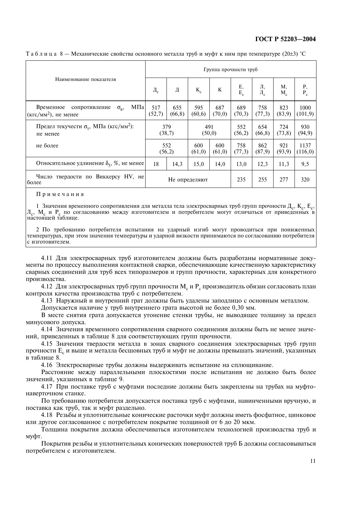|                                                                                 |               |                |                | Группа прочности труб |               |                |                |                  |
|---------------------------------------------------------------------------------|---------------|----------------|----------------|-----------------------|---------------|----------------|----------------|------------------|
| Наименование показателя                                                         | $\Box_c$      | Д              | $K_c$          | K                     | $E,$<br>$E_c$ | Л,<br>$\Pi_c$  | Μ,<br>$M_c$    | P,<br>$P_c$      |
| МПа<br>Временное<br>сопротивление<br>$\sigma_{\rm B}$<br>$(KTC/MM2)$ , не менее | 517<br>(52,7) | 655<br>(66, 8) | 595<br>(60, 6) | 687<br>(70,0)         | 689<br>(70,3) | 758<br>(77,3)  | 823<br>(83,9)  | 1000<br>(101, 9) |
| Предел текучести $\sigma_r$ , МПа (кгс/мм <sup>2</sup> ):<br>не менее           |               | 379<br>(38,7)  | 491<br>(50,0)  |                       | 552<br>(56,2) | 654<br>(66, 8) | 724<br>(73, 8) | 930<br>(94, 9)   |
| не более                                                                        | 552<br>(56,2) |                | 600<br>(61,0)  | 600<br>(61,0)         | 758<br>(77,3) | 862<br>(87,9)  | 921<br>(93,9)  | 1137<br>(116,0)  |
| Относительное удлинение $\delta_{5}$ , %, не менее                              | 18            | 14,3           | 15,0           | 14,0                  | 13,0          | 12,3           | 11,3           | 9,5              |
| Число твердости по Виккерсу HV, не<br>более                                     |               |                | Не определяют  |                       | 235           | 255            | 277            | 320              |

Таблица 8 — Механические свойства основного металла труб и муфт к ним при температуре (20 $\pm$ 3) °С

Примечания

1 Значения временного сопротивления для металла тела электросварных труб групп прочности Д<sub>с</sub>, К<sub>с</sub>, Е<sub>с</sub>, Л<sub>с</sub>, М<sub>с</sub> и Р<sub>с</sub> по согласованию между изготовителем и потребителем могут отличаться от приведенных в настоящей таблице.

2 По требованию потребителя испытания на уларный изгиб могут проволиться при пониженных температурах, при этом значения температуры и ударной вязкости принимаются по согласованию потребителя с изготовителем.

4.11 Для электросварных труб изготовителем должны быть разработаны нормативные документы по процессу выполнения контактной сварки, обеспечивающие качественную характеристику сварных соединений для труб всех типоразмеров и групп прочности, характерных для конкретного производства.

4.12 Для электросварных труб групп прочности М<sub>с</sub> и Р<sub>с</sub> производитель обязан согласовать план контроля качества произволства труб с потребителем.

4.13 Наружный и внутренний грат должны быть удалены заподлицо с основным металлом.

Допускается наличие у труб внутреннего грата высотой не более 0.30 мм.

В месте снятия грата допускается утонение стенки трубы, не выводящее толщину за предел минусового допуска.

4.14 Значения временного сопротивления сварного соединения должны быть не менее значений, приведенных в таблице 8 для соответствующих групп прочности.

4.15 Значения твердости металла в зонах сварного соединения электросварных труб групп прочности Е, и выше и металла бесшовных труб и муфт не должны превышать значений, указанных в таблице 8.

4.16 Электросварные трубы должны выдерживать испытание на сплющивание.

Расстояние между параллельными плоскостями после испытания не должно быть более значений, указанных в таблице 9.

4.17 При поставке труб с муфтами последние должны быть закреплены на трубах на муфтонаверточном станке.

По требованию потребителя допускается поставка труб с муфтами, навинченными вручную, и поставка как труб, так и муфт раздельно.

4.18 Резьбы и уплотнительные конические расточки муфт должны иметь фосфатное, цинковое или другое согласованное с потребителем покрытие толщиной от 6 до 20 мкм.

Толщина покрытия должна обеспечиваться изготовителем технологией производства труб и муфт.

Покрытия резьбы и уплотнительных конических поверхностей труб Б должны согласовываться потребителем с изготовителем.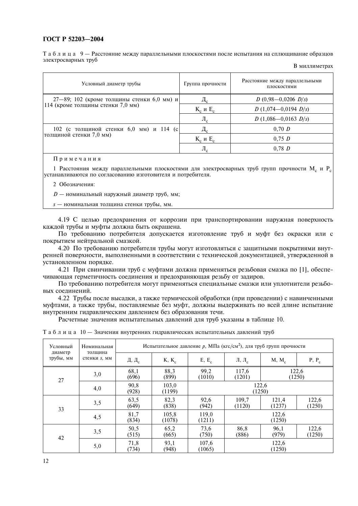Таблица 9 — Расстояние между параллельными плоскостями после испытания на сплющивание образцов электросварных труб

| Условный диаметр трубы                        | Группа прочности       | Расстояние между параллельными<br>плоскостями |
|-----------------------------------------------|------------------------|-----------------------------------------------|
| $27-89$ ; 102 (кроме толщины стенки 6,0 мм) и | $\mu_{\rm c}$          | $D(0,98-0,0206 D/s)$                          |
| 114 (кроме толщины стенки 7,0 мм)             | $K_c$ и Е <sub>с</sub> | $D(1,074-0,0194 D/s)$                         |
|                                               | $\rm{JI}_c$            | $D(1,086-0,0163)$ $D/s$ )                     |
| 102 (с толщиной стенки 6,0 мм) и 114 (с       | $\rm\,M_{c}$           | 0,70 D                                        |
| толщиной стенки 7,0 мм)                       | $K_c$ и Е <sub>с</sub> | 0.75 D                                        |
|                                               | $\rm{J}_{1c}$          | 0.78 D                                        |
|                                               |                        |                                               |

#### В миллиметрах

#### Примечания

1 Расстояния между параллельными плоскостями для электросварных труб групп прочности М. и Р. устанавливаются по согласованию изготовителя и потребителя.

2 Обозначения:

 $D$  — номинальный наружный диаметр труб, мм;

s - номинальная толщина стенки трубы, мм.

4.19 С целью предохранения от коррозии при транспортировании наружная поверхность каждой трубы и муфты должна быть окрашена.

По требованию потребителя допускается изготовление труб и муфт без окраски или с покрытием нейтральной смазкой.

4.20 По требованию потребителя трубы могут изготовляться с защитными покрытиями внутренней поверхности, выполненными в соответствии с технической документацией, утвержденной в установленном порядке.

4.21 При свинчивании труб с муфтами должна применяться резьбовая смазка по [1], обеспечивающая герметичность соединения и предохраняющая резьбу от задиров.

По требованию потребителя могут применяться специальные смазки или уплотнители резьбовых соединений.

4.22 Трубы после высадки, а также термической обработки (при проведении) с навинченными муфтами, а также трубы, поставляемые без муфт, должны выдерживать по всей длине испытание внутренним гидравлическим давлением без образования течи.

Расчетные значения испытательных давлений для труб указаны в таблице 10.

| Таблица 10 — Значения внутренних гидравлических испытательных давлений труб |  |  |
|-----------------------------------------------------------------------------|--|--|
|-----------------------------------------------------------------------------|--|--|

| Условный<br>диаметр | Номинальная<br>толщина |                 | Испытательное давление р, МПа (кгс/см <sup>2</sup> ), для труб групп прочности |                 |                                                       |                 |                 |  |
|---------------------|------------------------|-----------------|--------------------------------------------------------------------------------|-----------------|-------------------------------------------------------|-----------------|-----------------|--|
| трубы, мм           | стенки s, мм           | Д, Д $_{\rm c}$ | $K, K_c$                                                                       | $E, E_c$        | Л, Л <sub>с</sub>                                     | $M, M_c$        | $P, P_c$        |  |
| 27                  | 3,0                    | 68,1<br>(696)   | 88,3<br>(899)                                                                  | 99,2<br>(1010)  | 117,6<br>(1201)                                       |                 | 122,6<br>(1250) |  |
|                     | 4,0                    | 90,8<br>(928)   | 103,0<br>(1199)                                                                |                 |                                                       | 122,6<br>(1250) |                 |  |
| 33                  | 3,5                    | 63,5<br>(649)   | 82,3<br>(838)                                                                  | 92,6<br>(942)   | 122,6<br>109,7<br>121,4<br>(1250)<br>(1120)<br>(1237) |                 |                 |  |
|                     | 4,5                    | 81,7<br>(834)   | 105,8<br>(1078)                                                                | 119,0<br>(1211) | 122,6<br>(1250)                                       |                 |                 |  |
| 42                  | 3,5                    | 50,5<br>(515)   | 65,2<br>(665)                                                                  | 73,6<br>(750)   | 86,8<br>(886)                                         | 96,1<br>(979)   | 122,6<br>(1250) |  |
|                     | 5,0                    | 71,8<br>(734)   | 93,1<br>(948)                                                                  | 107,6<br>(1065) |                                                       | 122,6<br>(1250) |                 |  |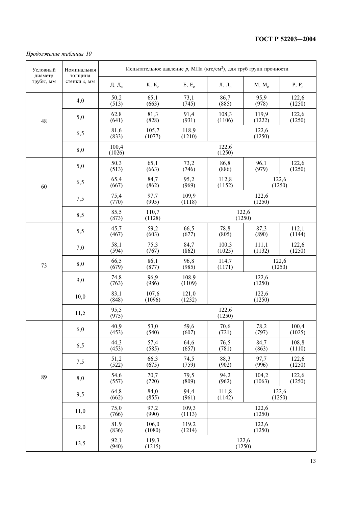#### Продолжение таблицы 10

| Условный<br>диаметр | Номинальная<br>толщина |                        |                 |                 | Испытательное давление р, МПа (кгс/см <sup>2</sup> ), для труб групп прочности |                 |                 |  |  |
|---------------------|------------------------|------------------------|-----------------|-----------------|--------------------------------------------------------------------------------|-----------------|-----------------|--|--|
| трубы, мм           | стенки s, мм           | Д, $\Box$ <sub>с</sub> | $K, K_c$        | $E, E_c$        | Л, Л <sub>с</sub>                                                              | $M, M_c$        | $P, P_c$        |  |  |
|                     | 4,0                    | 50,2<br>(513)          | 65,1<br>(663)   | 73,1<br>(745)   | 86,7<br>(885)                                                                  | 95,9<br>(978)   | 122,6<br>(1250) |  |  |
| 48                  | 5,0                    | 62,8<br>(641)          | 81,3<br>(828)   | 91,4<br>(931)   | 108,3<br>(1106)                                                                | 119,9<br>(1222) | 122,6<br>(1250) |  |  |
|                     | 6,5                    | 81,6<br>(833)          | 105,7<br>(1077) | 118,9<br>(1210) |                                                                                | 122,6<br>(1250) |                 |  |  |
|                     | 8,0                    | 100,4<br>(1026)        |                 |                 | 122,6<br>(1250)                                                                |                 |                 |  |  |
|                     | 5,0                    | 50,3<br>(513)          | 65,1<br>(663)   | 73,2<br>(746)   | 86,8<br>(886)                                                                  | 96,1<br>(979)   | 122,6<br>(1250) |  |  |
| 60                  | 6,5                    | 65,4<br>(667)          | 84,7<br>(862)   | 95,2<br>(969)   | 112,8<br>(1152)                                                                |                 | 122,6<br>(1250) |  |  |
|                     | 7,5                    | 75,4<br>(770)          | 97,7<br>(995)   | 109,9<br>(1118) |                                                                                | 122,6<br>(1250) |                 |  |  |
|                     | 8,5                    | 85,5<br>(873)          | 110,7<br>(1128) |                 | (1250)                                                                         | 122,6           |                 |  |  |
|                     | 5,5                    | 45,7<br>(467)          | 59,2<br>(603)   | 66,5<br>(677)   | 78,8<br>(805)                                                                  | 87,3<br>(890)   | 112,1<br>(1144) |  |  |
| 73                  | 7,0                    | 58,1<br>(594)          | 75,3<br>(767)   | 84,7<br>(862)   | 100,3<br>(1025)                                                                | 111,1<br>(1132) | 122,6<br>(1250) |  |  |
|                     | 8,0                    | 66,5<br>(679)          | 86,1<br>(877)   | 96,8<br>(985)   | 114,7<br>(1171)                                                                |                 | 122,6<br>(1250) |  |  |
|                     | 9,0                    | 74,8<br>(763)          | 96,9<br>(986)   | 108,9<br>(1109) |                                                                                | 122,6<br>(1250) |                 |  |  |
|                     | 10,0                   | 83,1<br>(848)          | 107,6<br>(1096) | 121,0<br>(1232) | 122,6<br>(1250)                                                                |                 |                 |  |  |
|                     | 11,5                   | 95,5<br>(975)          |                 | 122,6<br>(1250) |                                                                                |                 |                 |  |  |
|                     | 6,0                    | 40,9<br>(453)          | 53,0<br>(540)   | 59,6<br>(607)   | 70,6<br>(721)                                                                  | 78,2<br>(797)   | 100,4<br>(1025) |  |  |
|                     | 6,5                    | 44,3<br>(453)          | 57,4<br>(585)   | 64,6<br>(657)   | 76,5<br>(781)                                                                  | 84,7<br>(863)   | 108,8<br>(1110) |  |  |
|                     | 7,5                    | 51,2<br>(522)          | 66,3<br>(675)   | 74,5<br>(759)   | 88,3<br>(902)                                                                  | 97,7<br>(996)   | 122,6<br>(1250) |  |  |
| 89                  | 8,0                    | 54,6<br>(557)          | 70,7<br>(720)   | 79,5<br>(809)   | 94,2<br>(962)                                                                  | 104,2<br>(1063) | 122,6<br>(1250) |  |  |
|                     | 9,5                    | 64,8<br>(662)          | 84,0<br>(855)   | 94,4<br>(961)   | 122,6<br>111,8<br>(1142)<br>(1250)                                             |                 |                 |  |  |
|                     | 11,0                   | 75,0<br>(766)          | 97,2<br>(990)   | 109,3<br>(1113) |                                                                                | 122,6<br>(1250) |                 |  |  |
|                     | 12,0                   | 81,9<br>(836)          | 106,0<br>(1080) | 119,2<br>(1214) |                                                                                | 122,6<br>(1250) |                 |  |  |
|                     | 13,5                   | 92,1<br>(940)          | 119,3<br>(1215) |                 | 122,6<br>(1250)                                                                |                 |                 |  |  |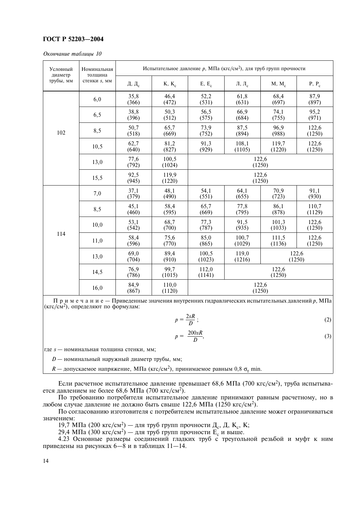#### Окончание таблицы 10

| Условный<br>диаметр | Номинальная<br>толщина |                        |                 | Испытательное давление р, МПа (кгс/см <sup>2</sup> ), для труб групп прочности |                   |                 |                 |
|---------------------|------------------------|------------------------|-----------------|--------------------------------------------------------------------------------|-------------------|-----------------|-----------------|
| трубы, мм           | стенки s, мм           | Д, $\Box$ <sub>с</sub> | $K, K_c$        | $E, E_c$                                                                       | Л, Л <sub>с</sub> | $M, M_c$        | $P, P_c$        |
|                     | 6,0                    | 35,8<br>(366)          | 46,4<br>(472)   | 52,2<br>(531)                                                                  | 61,8<br>(631)     | 68,4<br>(697)   | 87,9<br>(897)   |
|                     | 6,5                    | 38,8<br>(396)          | 50,3<br>(512)   | 56,5<br>(575)                                                                  | 66,9<br>(684)     | 74,1<br>(755)   | 95,2<br>(971)   |
| 102                 | 8,5                    | 50,7<br>(518)          | 65,7<br>(669)   | 73,9<br>(752)                                                                  | 87,5<br>(894)     | 96,9<br>(988)   | 122,6<br>(1250) |
|                     | 10,5                   | 62,7<br>(640)          | 81,2<br>(827)   | 91,3<br>(929)                                                                  | 108,1<br>(1105)   | 119,7<br>(1220) | 122,6<br>(1250) |
|                     | 13,0                   | 77,6<br>(792)          | 100,5<br>(1024) |                                                                                | (1250)            | 122,6           |                 |
|                     | 15,5                   | 92,5<br>(945)          | 119,9<br>(1220) |                                                                                | (1250)            | 122,6           |                 |
|                     | 7,0                    | 37,1<br>(379)          | 48,1<br>(490)   | 54,1<br>(551)                                                                  | 64,1<br>(655)     | 70,9<br>(723)   | 91,1<br>(930)   |
|                     | 8,5                    | 45,1<br>(460)          | 58,4<br>(595)   | 65,7<br>(669)                                                                  | 77,8<br>(795)     | 86,1<br>(878)   | 110,7<br>(1129) |
|                     | 10,0                   | 53,1<br>(542)          | 68,7<br>(700)   | 77,3<br>(787)                                                                  | 91,5<br>(935)     | 101,3<br>(1033) | 122,6<br>(1250) |
| 114                 | 11,0                   | 58,4<br>(596)          | 75,6<br>(770)   | 85,0<br>(865)                                                                  | 100,7<br>(1029)   | 111,5<br>(1136) | 122,6<br>(1250) |
|                     | 13,0                   | 69,0<br>(704)          | 89,4<br>(910)   | 100,5<br>119,0<br>122,6<br>(1023)<br>(1216)<br>(1250)                          |                   |                 |                 |
|                     | 14,5                   | 76,9<br>(786)          | 99,7<br>(1015)  | 112,0<br>(1141)                                                                |                   | 122,6<br>(1250) |                 |
|                     | 16,0                   | 84,9<br>(867)          | 110,0<br>(1120) |                                                                                | (1250)            | 122,6           |                 |

Примечание - Приведенные значения внутренних гидравлических испытательных давлений р, МПа  $(Krc/cM<sup>2</sup>)$ , определяют по формулам:

$$
p = \frac{2sR}{D};
$$
 (2)

$$
p = \frac{200sR}{D},\tag{3}
$$

где s — номинальная толщина стенки, мм;

 $D$  — номинальный наружный диаметр трубы, мм;

 $R$  — допускаемое напряжение, МПа (кгс/см<sup>2</sup>), принимаемое равным 0,8  $\sigma_r$  min.

Если расчетное испытательное давление превышает 68,6 МПа (700 кгс/см<sup>2</sup>), труба испытывается давлением не более 68,6 МПа (700 кгс/см<sup>2</sup>).

По требованию потребителя испытательное давление принимают равным расчетному, но в любом случае давление не должно быть свыше 122,6 МПа (1250 кгс/см<sup>2</sup>).

По согласованию изготовителя с потребителем испытательное давление может ограничиваться значением:

19,7 МПа (200 кгс/см<sup>2</sup>) — для труб групп прочности Д<sub>с</sub>, Д, К<sub>с</sub>, К;

29,4 МПа (300 кгс/см<sup>2</sup>) — для труб групп прочности  $E_c$  и выше.

4.23 Основные размеры соединений гладких труб с треугольной резьбой и муфт к ним приведены на рисунках 6—8 и в таблицах 11—14.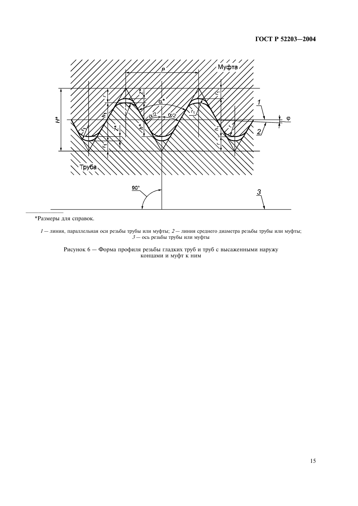

\*Размеры для справок.

 $1-$ линия, параллельная оси резьбы трубы или муфты; 2 — линия среднего диаметра резьбы трубы или муфты; 3 — ось резьбы трубы или муфты

Рисунок 6 — Форма профиля резьбы гладких труб и труб с высаженными наружу концами и муфт к ним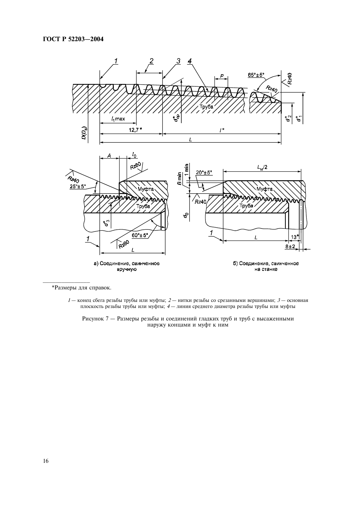

\*Размеры для справок.

 $l-$ конец сбега резьбы трубы или муфты; 2 — нитки резьбы со срезанными вершинами; 3 — основная плоскость резьбы трубы или муфты; 4 — линия среднего диаметра резьбы трубы или муфты

Рисунок 7 - Размеры резьбы и соединений гладких труб и труб с высаженными наружу концами и муфт к ним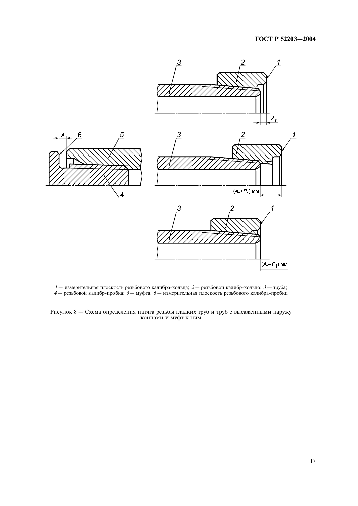

 $1-$  измерительная плоскость резьбового калибра-кольца;  $2-$  резьбовой калибр-кольцо;  $3-$  труба;<br> $4-$  резьбовой калибр-пробка;  $5-$  муфта;  $6-$  измерительная плоскость резьбового калибра-пробки

Рисунок 8 — Схема определения натяга резьбы гладких труб и труб с высаженными наружу концами и муфт к ним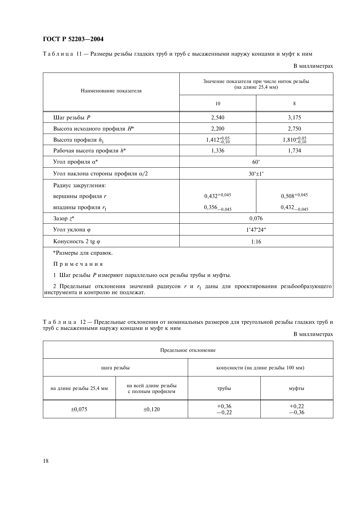Таблица 11 - Размеры резьбы гладких труб и труб с высаженными наружу концами и муфт к ним

В миллиметрах

| Наименование показателя                                                                                                                              |                         | Значение показателя при числе ниток резьбы<br>(на длине 25,4 мм) |
|------------------------------------------------------------------------------------------------------------------------------------------------------|-------------------------|------------------------------------------------------------------|
|                                                                                                                                                      | 10                      | 8                                                                |
| Шаг резьбы $P$                                                                                                                                       | 2,540                   | 3,175                                                            |
| Высота исходного профиля $H^*$                                                                                                                       | 2,200                   | 2,750                                                            |
| Высота профиля $h_1$                                                                                                                                 | $1,412_{-0,10}^{+0,05}$ | $1,810_{-0.10}^{+0.05}$                                          |
| Рабочая высота профиля $h^*$                                                                                                                         | 1,336                   | 1,734                                                            |
| Угол профиля $\alpha^*$                                                                                                                              |                         | $60^{\circ}$                                                     |
| Угол наклона стороны профиля α/2                                                                                                                     |                         | $30^\circ \pm 1^\circ$                                           |
| Радиус закругления:                                                                                                                                  |                         |                                                                  |
| вершины профиля r                                                                                                                                    | $0,432^{+0,045}$        | $0,508^{+0,045}$                                                 |
| впадины профиля r <sub>1</sub>                                                                                                                       | $0,356_{-0,045}$        | $0,432_{-0,045}$                                                 |
| Зазор $z^*$                                                                                                                                          |                         | 0,076                                                            |
| Угол уклона ф                                                                                                                                        |                         | 1°47'24''                                                        |
| Конусность 2 tg ф                                                                                                                                    |                         | 1:16                                                             |
| *Размеры для справок.                                                                                                                                |                         |                                                                  |
| Примечания                                                                                                                                           |                         |                                                                  |
| 1 Шаг резьбы Р измеряют параллельно оси резьбы трубы и муфты.                                                                                        |                         |                                                                  |
| 2 Предельные отклонения значений радиусов <i>r</i> и r <sub>1</sub> даны для проектирования резьбообразующего<br>инструмента и контролю не подлежат. |                         |                                                                  |

Таблица 12 - Предельные отклонения от номинальных размеров для треугольной резьбы гладких труби труб с высаженными наружу концами и муфт к ним

В миллиметрах

|                         |                                           | Предельное отклонение |                                     |
|-------------------------|-------------------------------------------|-----------------------|-------------------------------------|
| шага резьбы             |                                           |                       | конусности (на длине резьбы 100 мм) |
| на длине резьбы 25,4 мм | на всей длине резьбы<br>с полным профилем | трубы                 | муфты                               |
| $\pm 0.075$             | $\pm 0,120$                               | $+0,36$<br>-0,22      | $+0,22$<br>$-0,36$                  |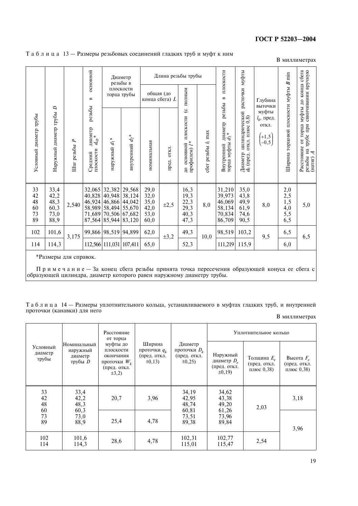|                                  |                                                      |                 | основной                                                    |                                                          | Диаметр<br>резьбы в                                      |                                              | Длина резьбы трубы          |                                                                              |                       | плоскости                                                 | муфты                                                    |                                                     | $B$ min                                      | сбега                                                                                      |
|----------------------------------|------------------------------------------------------|-----------------|-------------------------------------------------------------|----------------------------------------------------------|----------------------------------------------------------|----------------------------------------------|-----------------------------|------------------------------------------------------------------------------|-----------------------|-----------------------------------------------------------|----------------------------------------------------------|-----------------------------------------------------|----------------------------------------------|--------------------------------------------------------------------------------------------|
|                                  |                                                      |                 | $\mathbf{m}$                                                |                                                          | плоскости<br>торца трубы                                 |                                              | общая (до<br>конца сбега) L | полным                                                                       |                       | $\mathbf{m}$                                              | расточки                                                 | Глубина<br>выточки                                  |                                              | конца                                                                                      |
| Условный диаметр трубы           | $\overline{a}$<br>Наружный диаметр трубы             | ٩<br>Шаг резьбы | резьбы<br>диаметр<br>$d_{\rm cp}$ *<br>плоскости<br>Средний | ∗<br>наружный $d_1$                                      | $d_2$ *<br>внутренний                                    | номинальная                                  | <b>OTKJI</b><br>пред.       | $\hat{\sigma}$<br>плоскости<br>профилем) $l^*$<br>основной<br>$\overline{a}$ | сбег резьбы $l_1$ max | резьбы<br>диаметр<br>$d_3$ *<br>горца муфты<br>Внутренний | цилиндрической<br>откл. плюс 0,8)<br>Диаметр<br>ф (пред. | муфты<br>$l_0$ , пред.<br>откл.<br>$+1,5$<br>$-0,5$ | Ширина торцовой плоскости муфты              | резьбы на грубе при свинчивании вручную<br>(натяг) А<br>муфты до<br>торца<br>Расстояние от |
| 33<br>42<br>48<br>60<br>73<br>89 | $33,4$<br>$42,2$<br>$48,3$<br>$60,3$<br>73,0<br>88,9 | 2,540           | 32,065<br>40,828<br>46,924<br>58,989<br>71,689<br>87,564    | 32,382<br>40,948<br>46,866<br>58,494<br>70,506<br>85,944 | 29,568<br>38,124<br>44,042<br>55,670<br>67,682<br>83,120 | 29,0<br>32,0<br>35,0<br>42,0<br>53,0<br>60,0 | $\pm 2,5$                   | $\frac{16,3}{19,3}$<br>$22,3$<br>$29,3$<br>$40,3$<br>47,3                    | 8,0                   | 31,210<br>39,973<br>46,069<br>58,134<br>70,834<br>86,709  | 35,0<br>43,8<br>$^{49,9}_{61,9}$<br>74,6<br>90,5         | 8,0                                                 | $^{2,0}_{2,5}$<br>$1,5$<br>4,0<br>5,5<br>6,5 | 5,0                                                                                        |
| 102                              | 101,6                                                | 3,175           | 99,866                                                      | 98,519 94,899                                            |                                                          | 62,0                                         | $\pm 3,2$                   | 49,3                                                                         | 10,0                  | 98,519                                                    | 103,2                                                    | 9,5                                                 | 6,5                                          | 6,5                                                                                        |
| 114                              | 114,3                                                |                 |                                                             |                                                          | 112,566 111,031 107,411                                  | 65,0                                         |                             | 52,3                                                                         |                       | 111,219                                                   | 115,9                                                    |                                                     | 6,0                                          |                                                                                            |

#### Таблица 13 - Размеры резьбовых соединений гладких труб и муфт к ним

В миллиметрах

\*Размеры для справок.

Примечание — За конец сбега резьбы принята точка пересечения образующей конуса ее сбега с образующей цилиндра, диаметр которого равен наружному диаметру трубы.

Таблица 14 - Размеры уплотнительного кольца, устанавливаемого в муфтах гладких труб, и внутренней проточки (канавки) для него

В миллиметрах

|                              |                                                 | Расстояние<br>от торца                                                              |                                                        |                                                           |                                                         | Уплотнительное кольцо                       |                                            |
|------------------------------|-------------------------------------------------|-------------------------------------------------------------------------------------|--------------------------------------------------------|-----------------------------------------------------------|---------------------------------------------------------|---------------------------------------------|--------------------------------------------|
| Условный<br>диаметр<br>трубы | Номинальный<br>наружный<br>диаметр<br>трубы $D$ | муфты до<br>плоскости<br>окончания<br>проточки $W_k$<br>(пред. откл.<br>$\pm 3, 2)$ | Ширина<br>проточки $q_k$<br>(пред. откл.<br>$\pm 0.13$ | Диаметр<br>проточки $D_k$<br>(пред. откл.<br>$\pm 0,25$ ) | Наружный<br>диаметр $D_r$<br>(пред. откл.<br>$\pm 0.19$ | Толщина $E_r$<br>(пред. откл.<br>плюс 0,38) | Высота $F_r$<br>(пред. откл.<br>плюс 0,38) |
| 33<br>42<br>48               | 33,4<br>42,2<br>48,3                            | 20,7                                                                                | 3,96                                                   | 34,19<br>42,95<br>48,74                                   | 34,62<br>43,38<br>49,20                                 | 2,03                                        | 3,18                                       |
| 60<br>73<br>89               | 60,3<br>73,0<br>88,9                            | 25,4                                                                                | 4,78                                                   | 60,81<br>73,51<br>89,38                                   | 61,26<br>73,96<br>89,84                                 |                                             | 3,96                                       |
| 102<br>114                   | 101,6<br>114,3                                  | 28,6                                                                                | 4,78                                                   | 102,31<br>115,01                                          | 102,77<br>115,47                                        | 2,54                                        |                                            |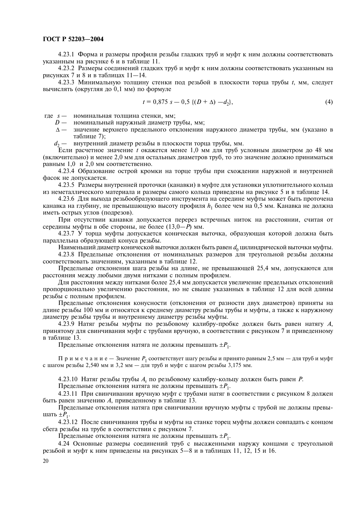4.23.1 Форма и размеры профиля резьбы гладких труб и муфт к ним должны соответствовать указанным на рисунке 6 и в таблице 11.

4.23.2 Размеры соединений гладких труб и муфт к ним должны соответствовать указанным на рисунках 7 и 8 и в таблицах 11-14.

4.23.3 Минимальную толщину стенки под резьбой в плоскости торца трубы t, мм, следует вычислять (округляя до 0,1 мм) по формуле

$$
t = 0.875 s - 0.5 \{(D + \Delta) - d_2\},\tag{4}
$$

где s - номинальная толщина стенки, мм;

- $D$  номинальный наружный диаметр трубы, мм;
- Д значение верхнего предельного отклонения наружного диаметра трубы, мм (указано в таблице 7):
- $d_2$  внутренний диаметр резьбы в плоскости торца трубы, мм.

Если расчетное значение *t* окажется менее 1,0 мм для труб условным диаметром до 48 мм (включительно) и менее 2,0 мм для остальных диаметров труб, то это значение должно приниматься равным 1,0 и 2,0 мм соответственно.

4.23.4 Образование острой кромки на торце трубы при схождении наружной и внутренней фасок не допускается.

4.23.5 Размеры внутренней проточки (канавки) в муфте для установки уплотнительного кольца из неметаллического материала и размеры самого кольца приведены на рисунке 5 и в таблице 14.

4.23.6 Для выхода резьбообразующего инструмента на середине муфты может быть проточена канавка на глубину, не превышающую высоту профиля  $h_1$  более чем на 0,5 мм. Канавка не должна иметь острых углов (подрезов).

При отсутствии канавки допускается перерез встречных ниток на расстоянии, считая от середины муфты в обе стороны, не более  $(13, 0-P)$  мм.

4.23.7 У торца муфты допускается коническая выточка, образующая которой должна быть параллельна образующей конуса резьбы.

Наименьший диаметр конической выточки должен быть равен  $d_0$  цилиндрической выточки муфты.

4.23.8 Предельные отклонения от номинальных размеров для треугольной резьбы должны соответствовать значениям, указанным в таблице 12.

Предельные отклонения шага резьбы на длине, не превышающей 25,4 мм, допускаются для расстояния между любыми двумя нитками с полным профилем.

Для расстояния между нитками более 25,4 мм допускается увеличение предельных отклонений пропорционально увеличению расстояния, но не свыше указанных в таблице 12 для всей длины резьбы с полным профилем.

Предельные отклонения конусности (отклонения от разности двух диаметров) приняты на длине резьбы 100 мм и относятся к среднему диаметру резьбы трубы и муфты, а также к наружному диаметру резьбы трубы и внутреннему диаметру резьбы муфты.

4.23.9 Натяг резьбы муфты по резьбовому калибру-пробке должен быть равен натягу А, принятому для свинчивания муфт с трубами вручную, в соответствии с рисунком 7 и приведенному в таблице 13.

Предельные отклонения натяга не должны превышать  $\pm P_1$ .

Примечание - Значение  $P_1$  соответствует шагу резьбы и принято равным 2,5 мм - для труб и муфт с шагом резьбы 2.540 мм и 3.2 мм – для труб и муфт с шагом резьбы 3.175 мм.

4.23.10 Натяг резьбы трубы  $A_r$  по резьбовому калибру-кольцу должен быть равен  $P$ .

Предельные отклонения натяга не должны превышать  $\pm P_1$ .

4.23.11 При свинчивании вручную муфт с трубами натяг в соответствии с рисунком 8 должен быть равен значению А, приведенному в таблице 13.

Предельные отклонения натяга при свинчивании вручную муфты с трубой не должны превышать  $\pm P_1$ .

4.23.12 После свинчивания трубы и муфты на станке торец муфты должен совпадать с концом сбега резьбы на трубе в соответствии с рисунком 7.

Предельные отклонения натяга не должны превышать  $\pm P_1$ .

4.24 Основные размеры соединений труб с высаженными наружу концами с треугольной резьбой и муфт к ним приведены на рисунках 5-8 и в таблицах 11, 12, 15 и 16.

20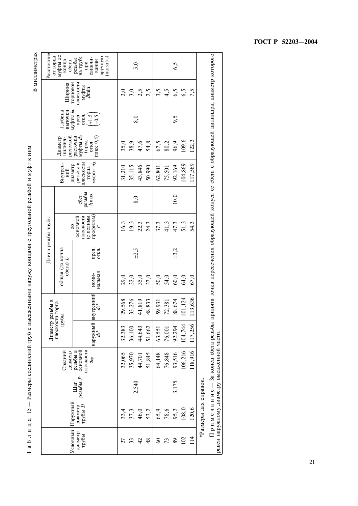Таблица 15 - Размеры соединений труб с высаженными наружу концами с треугольной резьбой и муфт к ним

В миллиметрах

|                  |                                        |                 |                                                                                  | Диаметр                  | резьбы в           |                                    |                | Длина резьбы трубы                                                                           |                           |                                                         |                                                        |                                                                                  |                                                | Расстояние<br>от торца                                                 |
|------------------|----------------------------------------|-----------------|----------------------------------------------------------------------------------|--------------------------|--------------------|------------------------------------|----------------|----------------------------------------------------------------------------------------------|---------------------------|---------------------------------------------------------|--------------------------------------------------------|----------------------------------------------------------------------------------|------------------------------------------------|------------------------------------------------------------------------|
| Условный         |                                        |                 | Средний<br>диаметр                                                               | плоскости торца<br>трубы |                    | общая (до конца<br>сбега) <i>L</i> |                | $\frac{1}{2}$                                                                                |                           | Внутрен-<br>НИЙ                                         | рической<br>Диаметр<br>цилинд-                         | Глубина<br>выточки                                                               | Ширина                                         | муфты до<br>конца<br>сбега                                             |
| диаметр<br>трубы | Наружный<br>трубы $\bar{D}$<br>диаметр | резьбы Р<br>Шаг | основной<br>резьбы в<br>плоскости<br>$a_{\rm cp}$                                | наружный                 | внутренний $d_2^*$ | нальная<br>номи-                   | пред.<br>откл. | профилем)<br>$\int_{l}^{*}$<br>основной<br>плоскости<br>С ПОЛНЫМ                             | резьбы<br>$l1$ max<br>c6e | муфты $d_3$<br>поскости<br>резьбы в<br>диаметр<br>торца | муфты ф<br>плюс $(0,8)$<br>расточки<br>(пред.<br>откл. | муфты $l_0$ ,<br>пред.<br>$\begin{pmatrix} -1.5 \\ -0.5 \end{pmatrix}$<br>OTKJI. | плоскости<br>горцовой<br>муфты<br><i>B</i> min | (натяг) $A$<br>на трубе<br>окньха<br>свинчи-<br>резьбы<br>вании<br>при |
| 27               | 33,4                                   |                 | 32,065                                                                           | 32,383                   | 29,568             | 29,0                               |                | 16,3                                                                                         |                           | 31,210                                                  | 35,0                                                   |                                                                                  | 2,0                                            |                                                                        |
| 33               | 37,3                                   |                 | 35,970                                                                           | 36,100                   | 33,276             | 32,0                               |                | 19,3                                                                                         |                           | 35,115                                                  | 38,9                                                   |                                                                                  | 3,0                                            |                                                                        |
| 42               | 46,0                                   | 2,540           | 44,701                                                                           | 44,643                   | 41,819             | 35,0                               | $\pm 2,5$      | 22,3                                                                                         | 8,0                       | 43,846                                                  | 47,6                                                   | 8,0                                                                              | 2,5                                            | 5,0                                                                    |
| 48               | 53,2                                   |                 | 51,845                                                                           | 51,662                   | 48,833             | 37,0                               |                | 24,3                                                                                         |                           | 50,990                                                  | 54,8                                                   |                                                                                  | 2,5                                            |                                                                        |
| $\Im$            | 65,9                                   |                 | 64,148                                                                           | 63,551                   | 59,931             | 50,0                               |                | 37,3                                                                                         |                           | 62,801                                                  | 67,5                                                   |                                                                                  | 3,5                                            |                                                                        |
| 73               | 78,6                                   |                 | 76,848                                                                           | 76,001                   | 72,381             | 54,0                               |                | 41,3                                                                                         |                           | 75,501                                                  | 80,2                                                   |                                                                                  | 4,5                                            |                                                                        |
| 89               | 95,2                                   | 3,175           | 93,516                                                                           | 92,294                   | 88,674             | 60,0                               | ±3,2           | 47,3                                                                                         | 10,0                      | 92,169                                                  | 96,9                                                   | 9,5                                                                              | 6,5                                            | 6,5                                                                    |
| 102              | 108,0                                  |                 | 106,216                                                                          | 104,744                  | 101,124            | 64,0                               |                | 51,3                                                                                         |                           | 104,869                                                 | 109,6                                                  |                                                                                  | 6,5                                            |                                                                        |
| 114              | 120,6                                  |                 | 118,916                                                                          | 117,256                  | 113,636            | 67,0                               |                | 54,3                                                                                         |                           | 117,569                                                 | 122,3                                                  |                                                                                  | 7,5                                            |                                                                        |
|                  | *Размеры для справок.                  |                 |                                                                                  |                          |                    |                                    |                |                                                                                              |                           |                                                         |                                                        |                                                                                  |                                                |                                                                        |
|                  |                                        |                 | Примечание — За конец сбега резьбы<br>равен наружному диаметру высаженной части. |                          |                    |                                    |                | принята точка пересечения образующей конуса ее сбега с образующей цилиндра, диаметр которого |                           |                                                         |                                                        |                                                                                  |                                                |                                                                        |

FOCT P 52203-2004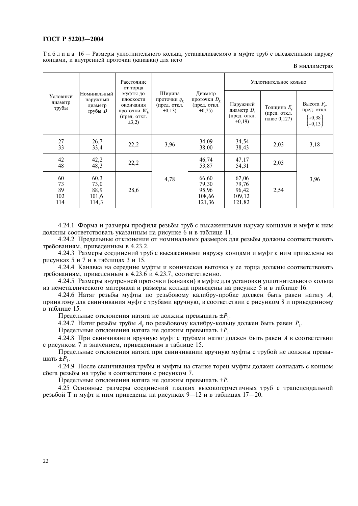Таблица 16 — Размеры уплотнительного кольца, устанавливаемого в муфте труб с высаженными наружу концами, и внутренней проточки (канавки) для него

В миллиметрах

|                              |                                               | Расстояние<br>от торца                                                              |                                                        |                                                           |                                                         | Уплотнительное кольцо                        |                                                       |
|------------------------------|-----------------------------------------------|-------------------------------------------------------------------------------------|--------------------------------------------------------|-----------------------------------------------------------|---------------------------------------------------------|----------------------------------------------|-------------------------------------------------------|
| Условный<br>диаметр<br>трубы | Номинальный<br>наружный<br>диаметр<br>трубы D | муфты до<br>плоскости<br>окончания<br>проточки $W_k$<br>(пред. откл.<br>$\pm 3, 2)$ | Ширина<br>проточки $q_k$<br>(пред. откл.<br>$\pm 0.13$ | Диаметр<br>проточки $D_k$<br>(пред. откл.<br>$\pm 0.25$ ) | Наружный<br>диаметр $D_r$<br>(пред. откл.<br>$\pm 0.19$ | Толщина $E_r$<br>(пред. откл.<br>плюс 0,127) | Высота $F_r$ ,<br>пред. откл.<br>$(+0,38)$<br>$-0,13$ |
| 27<br>33                     | 26,7<br>33,4                                  | 22,2                                                                                | 3,96                                                   | 34,09<br>38,00                                            | 34,54<br>38,43                                          | 2,03                                         | 3,18                                                  |
| 42<br>48                     | 42,2<br>48,3                                  | 22,2                                                                                |                                                        | 46,74<br>53,87                                            | 47,17<br>54,31                                          | 2,03                                         |                                                       |
| 60<br>73<br>89<br>102<br>114 | 60,3<br>73,0<br>88,9<br>101,6<br>114,3        | 28,6                                                                                | 4,78                                                   | 66,60<br>79,30<br>95,96<br>108,66<br>121,36               | 67,06<br>79,76<br>96,42<br>109,12<br>121,82             | 2,54                                         | 3,96                                                  |

4.24.1 Форма и размеры профиля резьбы труб с высаженными наружу концами и муфт к ним должны соответствовать указанным на рисунке 6 и в таблице 11.

4.24.2 Предельные отклонения от номинальных размеров для резьбы должны соответствовать требованиям. приведенным в 4.23.2.

4.24.3 Размеры соединений труб с высаженными наружу концами и муфт к ним приведены на рисунках 5 и 7 и в таблицах 3 и 15.

4.24.4 Канавка на середине муфты и коническая выточка у ее торца должны соответствовать требованиям, приведенным в 4.23.6 и 4.23.7, соответственно.

4.24.5 Размеры внутренней проточки (канавки) в муфте для установки уплотнительного кольца из неметаллического материала и размеры кольца приведены на рисунке 5 и в таблице 16.

4.24.6 Натяг резьбы муфты по резьбовому калибру-пробке должен быть равен натягу A, принятому для свинчивания муфт с трубами вручную, в соответствии с рисунком 8 и приведенному в таблине 15.

Предельные отклонения натяга не должны превышать  $\pm P_1$ .

4.24.7 Натяг резьбы трубы  $A_r$  по резьбовому калибру-кольцу должен быть равен  $P_1$ .

Предельные отклонения натяга не должны превышать  $\pm P_1$ .

4.24.8 При свинчивании вручную муфт с трубами натяг должен быть равен А в соответствии с рисунком 7 и значением, приведенным в таблице 15.

Предельные отклонения натяга при свинчивании вручную муфты с трубой не должны превышать  $\pm P_1$ .

4.24.9 После свинчивания трубы и муфты на станке торец муфты должен совпадать с концом сбега резьбы на трубе в соответствии с рисунком 7.

Предельные отклонения натяга не должны превышать ±P.

4.25 Основные размеры соединений гладких высокогерметичных труб с трапецеидальной резьбой Т и муфт к ним приведены на рисунках 9—12 и в таблицах 17—20.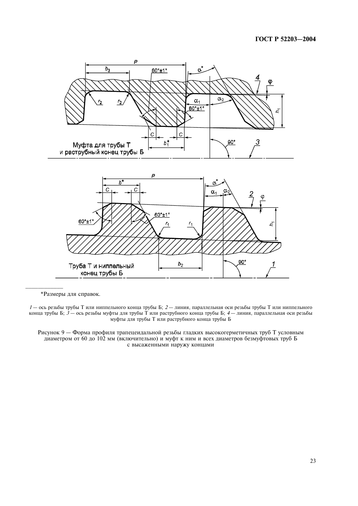

\*Размеры для справок.

 $1$ — ось резьбы трубы Т или ниппельного конца трубы Б; 2— линия, параллельная оси резьбы трубы Т или ниппельного конца трубы Б; 3— ось резьбы муфты для трубы Т или раструбного конца трубы Б; 3— ось резьбы муфты для трубы Т или раструбного конца трубы Б

Рисунок 9 — Форма профиля трапецеидальной резьбы гладких высокогерметичных труб Т условным диаметром от 60 до 102 мм (включительно) и муфт к ним и всех диаметров безмуфтовых труб Б с высаженными наружу концами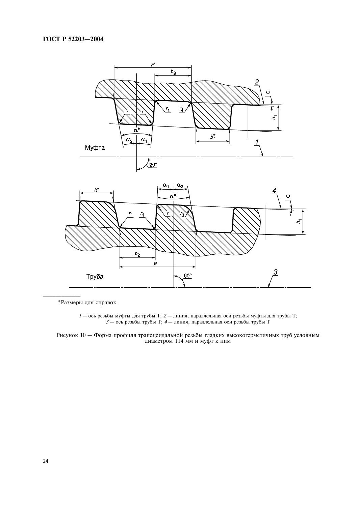

\*Размеры для справок.

 $I-$ ось резьбы муфты для трубы Т;  $2-$ линия, параллельная оси резьбы муфты для трубы Т;  $3-$ ось резьбы трубы Т;  $4-$ линия, параллельная оси резьбы трубы Т

Рисунок 10 — Форма профиля трапецеидальной резьбы гладких высокогерметичных труб условным диаметром 114 мм и муфт к ним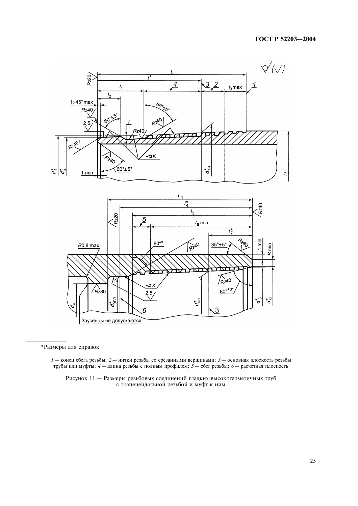



\*Размеры для справок.

 $1-$  конец сбега резьбы;  $2-$  нитки резьбы со срезанными вершинами;  $3-$  основная плоскость резьбы трубы или муфты; 4 — длина резьбы с полным профилем; 5 — сбег резьбы; 6 — расчетная плоскость

Рисунок 11 - Размеры резьбовых соединений гладких высокогерметичных труб с трапецеидальной резьбой и муфт к ним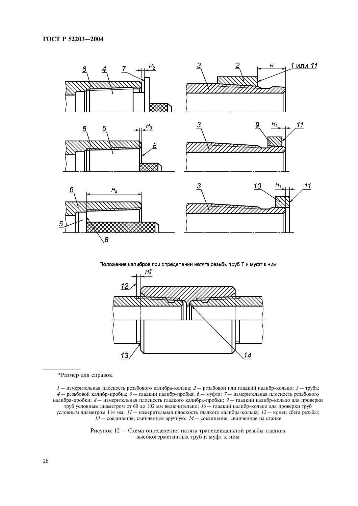

Положение калибров при определении натяга резьбы труб Т и муфт к ним



\*Размер для справок.

 $1$ — измерительная плоскость резьбового калибра-кольца;  $2$  — резьбовой или гладкий калибр-кольцо;  $3$  — труба;<br> $4$  — резьбовой калибр-пробка;  $5$  — гладкий калибр-пробка;  $6$  — муфта;  $7$  — измерительная плоскость резьб труб условным диаметром от 60 до 102 мм включительно;  $10-$ гладкий калибр-кольцо для проверки труб условным диаметром 114 мм;  $11$  - измерительная плоскость гладкого калибра-кольца;  $12$  - конец сбега резьбы;  $13-$  соединение, свинченное вручную;  $14-$  соединение, свинченное на станке

> Рисунок 12 - Схема определения натяга трапецеидальной резьбы гладких высокогерметичных труб и муфт к ним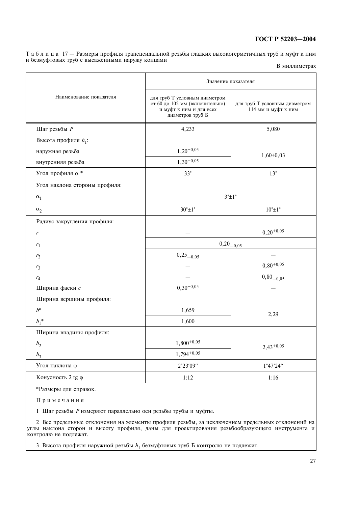Таблица 17 - Размеры профиля трапецеидальной резьбы гладких высокогерметичных труб и муфт к ним и безмуфтовых труб с высаженными наружу концами

|  | В миллиметрах |
|--|---------------|
|--|---------------|

|                               | Значение показателя                                                                                            |                                                      |  |  |  |
|-------------------------------|----------------------------------------------------------------------------------------------------------------|------------------------------------------------------|--|--|--|
| Наименование показателя       | для труб Т условным диаметром<br>от 60 до 102 мм (включительно)<br>и муфт к ним и для всех<br>диаметров труб Б | для труб Т условным диаметром<br>114 мм и муфт к ним |  |  |  |
| Шаг резьбы $\it P$            | 4,233                                                                                                          | 5,080                                                |  |  |  |
| Высота профиля $h_1$ :        |                                                                                                                |                                                      |  |  |  |
| наружная резьба               | $1,20^{+0,05}$                                                                                                 | $1,60 \pm 0,03$                                      |  |  |  |
| внутренняя резьба             | $1,30^{+0,05}$                                                                                                 |                                                      |  |  |  |
| Угол профиля $\alpha$ *       | $33^\circ$                                                                                                     | $13^\circ$                                           |  |  |  |
| Угол наклона стороны профиля: |                                                                                                                |                                                      |  |  |  |
| $\alpha_1$                    |                                                                                                                | $3^{\circ}$ $\pm$ 1 $^{\circ}$                       |  |  |  |
| $\alpha_2$                    | $30^{\circ}$ ±1°                                                                                               | $10^{\circ}$ ± $1^{\circ}$                           |  |  |  |
| Радиус закругления профиля:   |                                                                                                                |                                                      |  |  |  |
| $\boldsymbol{r}$              |                                                                                                                | $0,20^{+0,05}$                                       |  |  |  |
| $r_1$                         | $0,20_{-0,05}$                                                                                                 |                                                      |  |  |  |
| r <sub>2</sub>                | $0,25_{-0,05}$                                                                                                 |                                                      |  |  |  |
| r <sub>3</sub>                |                                                                                                                | $0,80^{+0,05}$                                       |  |  |  |
| $r_4\,$                       |                                                                                                                | $0,80_{-0,05}$                                       |  |  |  |
| Ширина фаски с                | $0,30^{+0,05}$                                                                                                 |                                                      |  |  |  |
| Ширина вершины профиля:       |                                                                                                                |                                                      |  |  |  |
| $b^*$                         | 1,659                                                                                                          | 2,29                                                 |  |  |  |
| $b_1^*$                       | 1,600                                                                                                          |                                                      |  |  |  |
| Ширина впадины профиля:       |                                                                                                                |                                                      |  |  |  |
| b <sub>2</sub>                | $1,800^{+0,05}$                                                                                                | $2,43^{+0,05}$                                       |  |  |  |
| $b_3$                         | $1,794^{+0,05}$                                                                                                |                                                      |  |  |  |
| Угол наклона ф                | 2°23'09"                                                                                                       | 1°47'24"                                             |  |  |  |
| Конусность 2 tg ф             | 1:12                                                                                                           | 1:16                                                 |  |  |  |

\*Размеры для справок.

Примечания

1 Шаг резьбы Р измеряют параллельно оси резьбы трубы и муфты.

2 Все предельные отклонения на элементы профиля резьбы, за исключением предельных отклонений на углы наклона сторон и высоту профиля, даны для проектирования резьбообразующего инструмента и контролю не подлежат.

3 Высота профиля наружной резьбы  $h_1$  безмуфтовых труб Б контролю не подлежит.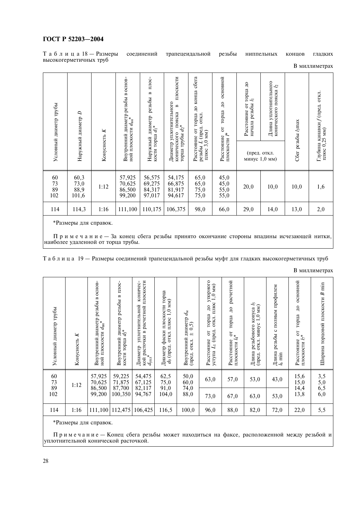Таблица 18 — Размеры<br>высокогерметичных труб

соединений

трапецеидальной

резьбы ниппельных

концов

гладких

В миллиметрах

| Условный диаметр трубы | $\overline{D}$<br>Наружный диаметр | ×<br>Конусность | Внутренний диаметр резьбы в основ-<br>ной плоскости d <sub>вн</sub> * | TIJOC-<br>$\mathbf{m}$<br>резьбы<br>диаметр<br>кости торца $d_1^*$<br>Наружный | плоскости<br>Диаметр уплотнительного<br>$\mathbf{r}$<br>$\begin{array}{c} \text{m.} \\ \text{m.} \\ \text{m.} \end{array}$<br>конического<br>торца трубы | сбега<br>до конца<br>откл.<br>от торца<br>(пред.<br>$3,0$ MM $)$<br>Расстояние<br>резьбы $L$<br>плюс | основной<br>$\mathbf{Q}$<br>торца<br>5<br>плоскости $\mathcal{I}^*$<br>Расстояние | торца до<br>h<br>5<br>начала резьбы<br>Расстояние | уплотнительного<br>4<br>конического пояска<br>Длина<br>(пред. откл.<br>минус 1,0 мм) | Сбег резьбы $l_3$ тах | канавки $f$ (пред. откл.<br>(MW<br>плюс 0,25<br>Глубина |
|------------------------|------------------------------------|-----------------|-----------------------------------------------------------------------|--------------------------------------------------------------------------------|----------------------------------------------------------------------------------------------------------------------------------------------------------|------------------------------------------------------------------------------------------------------|-----------------------------------------------------------------------------------|---------------------------------------------------|--------------------------------------------------------------------------------------|-----------------------|---------------------------------------------------------|
| 60<br>73<br>89<br>102  | 60,3<br>73,0<br>88,9<br>101,6      | 1:12            | 57,925<br>70,625<br>86,500<br>99,200                                  | 56,575<br>69,275<br>84,317<br>97,017                                           | 54,175<br>66,875<br>81,917<br>94,617                                                                                                                     | 65,0<br>65,0<br>75,0<br>75,0                                                                         | 45,0<br>45,0<br>$\frac{55,0}{55,0}$                                               | 20,0                                              | 10,0                                                                                 | 10,0                  | 1,6                                                     |
| 114                    | 114,3                              | 1:16            | 111,100                                                               | 110,175                                                                        | 106,375                                                                                                                                                  | 98,0                                                                                                 | 66,0                                                                              | 29,0                                              | 14,0                                                                                 | 13,0                  | 2,0                                                     |

\*Размеры для справок.

Примечание – За конец сбега резьбы принято окончание стороны впадины исчезающей нитки,<br>наиболее удаленной от торца трубы.

Таблица 19 - Размеры соединений трапецеидальной резьбы муфт для гладких высокогерметичных труб

|                        |                 |                                                                       |                                                                    |                                                    |                                                                             |                                                                 |                                                                                                                                 |                                                                                              |                                                                          |                                                         |                                                                               | итллимстрал                     |
|------------------------|-----------------|-----------------------------------------------------------------------|--------------------------------------------------------------------|----------------------------------------------------|-----------------------------------------------------------------------------|-----------------------------------------------------------------|---------------------------------------------------------------------------------------------------------------------------------|----------------------------------------------------------------------------------------------|--------------------------------------------------------------------------|---------------------------------------------------------|-------------------------------------------------------------------------------|---------------------------------|
| Условный диаметр трубы | ×<br>Конусность | Внутренний диаметр резьбы в основ-<br>ной плоскости $d_{\text{BH}}$ * | TITOC-<br>диаметр резьбы в<br>$d_3^*$<br>Внутренний<br>кости торца | плоскости<br>коничес-<br>уплотнительной<br>Диаметр | фаски плоскости торца<br>$1,0$ MM $)$<br>откл. плюс<br>ао (пред.<br>Диаметр | диаметр $d_M$<br>(0,5)<br>$+1$<br>Внутренний<br>откл.<br>(пред. | упорного<br>ЙW<br>$\overline{0}$ .<br>откл. плюс<br>$\mathbf{q}$<br>торца<br>L <sub>1</sub> (пред.<br>5<br>Расстояние<br>уступа | расчетной<br>$\overline{A}$<br>торца<br>$\sigma_{\ast}^{\rm eff}$<br>Расстояние<br>плоскости | конуса $l_5$ 1,0 мм)<br>Длина резьбового конуса<br>откл. минус<br>(пред. | полным профилем<br>$\circ$<br>Длина резьбы<br>$l_6$ min | основной<br>$\overline{a}$<br>торца<br>5<br>плоскости $l\tau^*$<br>Расстояние | Ширина торцовой плоскости В min |
| 60<br>73<br>89         | 1:12            | 57,925<br>70,625<br>86,500                                            | 59,225<br>71,875<br>87,700                                         | 54,475<br>67,125<br>82,117                         | $62,5$<br>75,0<br>91,0                                                      | $\substack{50,0\\60,0}$<br>74,0                                 | 63,0                                                                                                                            | 57,0                                                                                         | 53,0                                                                     | 43,0                                                    | 15,6<br>15,0<br>14,4                                                          | $3,5$<br>5,0<br>6,5<br>6,5      |
| 102                    | 99,200          | 100,350                                                               | 94,767                                                             | 104,0                                              | 88,0                                                                        | 73,0                                                            | 67,0                                                                                                                            | 63,0                                                                                         | 53,0                                                                     | 13,8                                                    |                                                                               |                                 |
| 114                    | 1:16            | 111,100                                                               | 112,475                                                            | 106,425                                            | 116,5                                                                       | 100,0                                                           | 96,0                                                                                                                            | 88,0                                                                                         | 82,0                                                                     | 72,0                                                    | 22,0                                                                          | 5,5                             |
|                        |                 |                                                                       |                                                                    |                                                    |                                                                             |                                                                 |                                                                                                                                 |                                                                                              |                                                                          |                                                         |                                                                               |                                 |

В миллиметрах

\*Размеры для справок.

Примечание - Конец сбега резьбы может находиться на факсе, расположенной между резьбой и уплотнительной конической расточкой.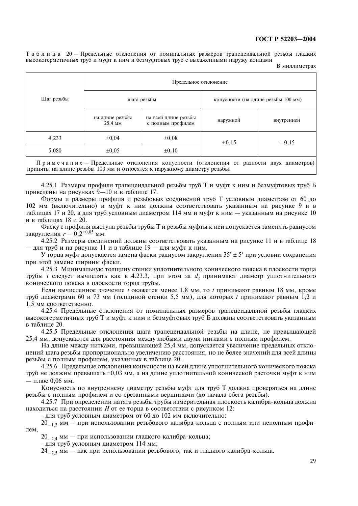Таблица 20 — Предельные отклонения от номинальных размеров трапецеидальной резьбы гладких высокогерметичных труб и муфт к ним и безмуфтовых труб с высаженными наружу концами

В миллиметрах

|            | Предельное отклонение      |                                           |                                     |            |  |  |  |  |  |
|------------|----------------------------|-------------------------------------------|-------------------------------------|------------|--|--|--|--|--|
| Шаг резьбы |                            | шага резьбы                               | конусности (на длине резьбы 100 мм) |            |  |  |  |  |  |
|            | на длине резьбы<br>25,4 MM | на всей длине резьбы<br>с полным профилем | наружной                            | внутренней |  |  |  |  |  |
| 4,233      | $\pm 0.04$                 | $\pm 0.08$                                | $+0,15$                             | $-0,15$    |  |  |  |  |  |
| 5,080      | $\pm 0.05$<br>$\pm 0, 10$  |                                           |                                     |            |  |  |  |  |  |

Примечание - Предельные отклонения конусности (отклонения от разности двух диаметров) приняты на длине резьбы 100 мм и относятся к наружному диаметру резьбы.

4.25.1 Размеры профиля трапецеидальной резьбы труб Т и муфт к ним и безмуфтовых труб Б приведены на рисунках 9-10 и в таблице 17.

Формы и размеры профиля и резьбовых соединений труб Т условным диаметром от 60 до 102 мм (включительно) и муфт к ним должны соответствовать указанным на рисунке 9 и в таблицах 17 и 20, а для труб условным диаметром 114 мм и муфт к ним — указанным на рисунке 10 и в таблицах 18 и 20.

Фаску с профиля выступа резьбы трубы Т и резьбы муфты к ней допускается заменять радиусом закругления  $r = 0,2^{+0.05}$  мм.

4.25.2 Размеры соединений должны соответствовать указанным на рисунке 11 и в таблице 18 - для труб и на рисунке 11 и в таблице 19 - для муфт к ним.

У торца муфт допускается замена фаски радиусом закругления 35°  $\pm$  5° при условии сохранения при этой замене ширины фаски.

4.25.3 Минимальную толщину стенки уплотнительного конического пояска в плоскости торца трубы *t* следует вычислять как в 4.23.3, при этом за  $d_2$  принимают диаметр уплотнительного конического пояска в плоскости торца трубы.

Если вычисленное значение *t* окажется менее 1,8 мм, то *t* принимают равным 18 мм, кроме труб диаметрами 60 и 73 мм (толщиной стенки 5,5 мм), для которых *t* принимают равным 1,2 и 1,5 мм соответственно.

4.25.4 Предельные отклонения от номинальных размеров трапецеидальной резьбы гладких высокогерметичных труб Т и муфт к ним и безмуфтовых труб Б должны соответствовать указанным в таблице 20.

4.25.5 Предельные отклонения шага трапецеидальной резьбы на длине, не превышающей 25,4 мм, допускаются для расстояния между любыми двумя нитками с полным профилем.

На длине между нитками, превышающей 25,4 мм, допускается увеличение предельных отклонений шага резьбы пропорционально увеличению расстояния, но не более значений для всей длины резьбы с полным профилем, указанных в таблице 20.

4.25.6 Предельные отклонения конусности на всей длине уплотнительного конического пояска труб не должны превышать ±0,03 мм, а на длине уплотнительной конической расточки муфт к ним — плюс 0,06 мм.

Конусность по внутреннему диаметру резьбы муфт для труб Т должна проверяться на длине резьбы с полным профилем и со срезанными вершинами (до начала сбега резьбы).

4.25.7 При определении натяга резьбы трубы измерительная плоскость калибра-кольца должна находиться на расстоянии  $H$  от ее торца в соответствии с рисунком 12:

- для труб условным диаметром от 60 до 102 мм включительно:

 $20_{-12}$  мм — при использовании резьбового калибра-кольца с полным или неполным профилем,

20<sub>-2.4</sub> мм - при использовании гладкого калибра-кольца;

- для труб условным диаметром 114 мм;

 $24_{-25}$  мм — как при использовании резьбового, так и гладкого калибра-кольца.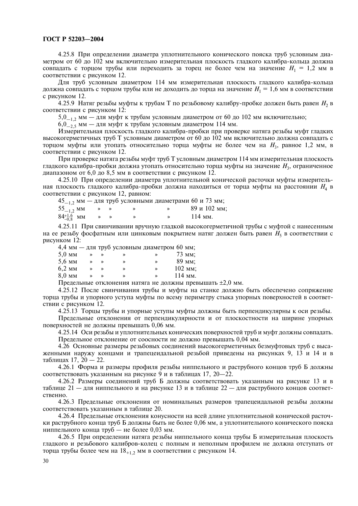4.25.8 При определении диаметра уплотнительного конического пояска труб условным диаметром от 60 до 102 мм включительно измерительная плоскость гладкого калибра-кольца должна совпадать с торцом трубы или переходить за торец не более чем на значение  $H_1 = 1,2$  мм в соответствии с рисунком 12.

Для труб условным диаметром 114 мм измерительная плоскость гладкого калибра-кольца должна совпадать с торцом трубы или не доходить до торца на значение  $H_1 = 1.6$  мм в соответствии с рисунком 12.

4.25.9 Натяг резьбы муфты к трубам Т по резьбовому калибру-пробке должен быть равен  $H_2$  в соответствии с рисунком 12:

5,0<sub>-1,2</sub> мм - для муфт к трубам условным диаметром от 60 до 102 мм включительно;<br>6,0<sub>-2,5</sub> мм - для муфт к трубам условным диаметром 114 мм.

Измерительная плоскость гладкого калибра-пробки при проверке натяга резьбы муфт гладких высокогерметичных труб Т условным диаметром от 60 до 102 мм включительно должна совпадать с торцом муфты или утопать относительно торца муфты не более чем на  $H_3$ , равное 1,2 мм, в соответствии с рисунком 12.

При проверке натяга резьбы муфт труб Т условным диаметром 114 мм измерительная плоскость гладкого калибра-пробки должна утопать относительно торца муфты на значение  $H_3$ , ограниченное диапазоном от 6,0 до 8,5 мм в соответствии с рисунком 12.

4.25.10 При определении диаметра уплотнительной конической расточки муфты измерительная плоскость гладкого калибра-пробки должна находиться от торца муфты на расстоянии  $H_4$  в соответствии с рисунком 12, равном:  $\sim$   $\sim$ 

|                       |               |  | $45_{-1.2}$ мм — для труб условными диаметрами 60 и 73 мм; |
|-----------------------|---------------|--|------------------------------------------------------------|
| $55_{-1.2}$ MM        |               |  | 89 и 102 мм;                                               |
| $84^{+1.6}_{-0.8}$ MM | $\rightarrow$ |  | $114$ MM.                                                  |

4.25.11 При свинчивании вручную гладкой высокогерметичной трубы с муфтой с нанесенным на ее резьбу фосфатным или цинковым покрытием натяг должен быть равен  $H_5$  в соответствии с рисунком 12:

|        |   |   | 4,4 мм — для труб условным диаметром 60 мм; |           |
|--------|---|---|---------------------------------------------|-----------|
| 5,0 мм |   |   | ≫                                           | 73 MM:    |
| 5,6 мм | ≫ | ≫ | ≫                                           | 89 мм;    |
| 6,2 мм | ≫ | ≫ | ≫                                           | 102 мм;   |
| 8,0 мм |   |   | ≫                                           | $114$ MM. |
|        |   |   |                                             |           |

Предельные отклонения натяга не должны превышать  $\pm 2.0$  мм.

4.25.12 После свинчивания трубы и муфты на станке должно быть обеспечено сопряжение торца трубы и упорного уступа муфты по всему периметру стыка упорных поверхностей в соответствии с рисунком 12.

4.25.13 Торцы трубы и упорные уступы муфты должны быть перпендикулярны к оси резьбы.

Предельные отклонения от перпендикулярности и от плоскостности на ширине упорных поверхностей не должны превышать 0,06 мм.

4.25.14 Оси резьбы и уплотнительных конических поверхностей труб и муфт должны совпадать. Предельное отклонение от соосности не должно превышать 0,04 мм.

4.26 Основные размеры резьбовых соединений высокогерметичных безмуфтовых труб с высаженными наружу концами и трапецеидальной резьбой приведены на рисунках 9, 13 и 14 и в таблицах 17, 20 - 22.

4.26.1 Форма и размеры профиля резьбы ниппельного и раструбного концов труб Б должны соответствовать указанным на рисунке 9 и в таблицах 17, 20-22.

4.26.2 Размеры соединений труб Б должны соответствовать указанным на рисунке 13 и в таблице 21 — для ниппельного и на рисунке 13 и в таблице 22 — для раструбного концов соответственно.

4.26.3 Предельные отклонения от номинальных размеров трапецеидальной резьбы должны соответствовать указанным в таблице 20.

4.26.4 Предельные отклонения конусности на всей длине уплотнительной конической расточки раструбного конца труб Б должны быть не более 0,06 мм, а уплотнительного конического пояска ниппельного конца труб — не более 0,03 мм.

4.26.5 При определении натяга резьбы ниппельного конца трубы Б измерительная плоскость гладкого и резьбового калибров-колец с полным и неполным профилем не должна отступать от торца трубы более чем на 18<sub>+12</sub> мм в соответствии с рисунком 14.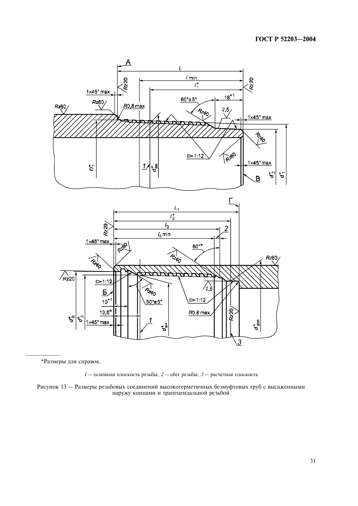



\*Размеры для справок.

 $1-$  основная плоскость резьбы;  $2-$  сбег резьбы;  $3-$  расчетная плоскость

Рисунок 13 - Размеры резьбовых соединений высокогерметичных безмуфтовых труб с высаженными наружу концами и трапецеидальной резьбой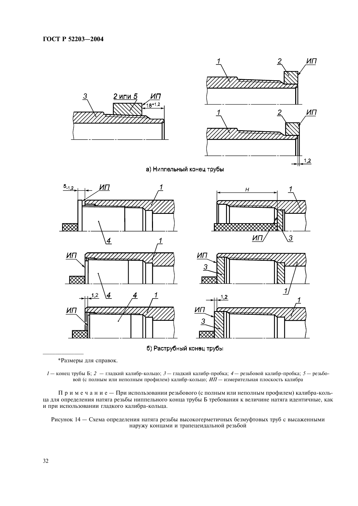

б) Раструбный конец трубы

\*Размеры для справок.

1 - конец трубы Б; 2 - гладкий калибр-кольцо; 3 - гладкий калибр-пробка; 4 - резьбовой калибр-пробка; 5 - резьбовой (с полным или неполным профилем) калибр-кольцо; ИП - измерительная плоскость калибра

Примечание - Прииспользовании резьбового (с полным или неполным профилем) калибра-кольца для определения натяга резьбы ниппельного конца трубы Б требования к величине натяга идентичные, как и при использовании гладкого калибра-кольца.

Рисунок 14 - Схема определения натяга резьбы высокогерметичных безмуфтовых труб с высаженными наружу концами и трапецеидальной резьбой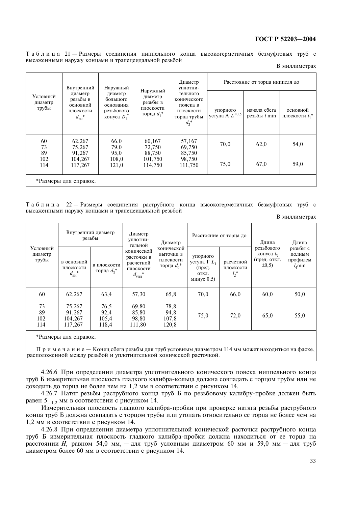Таблица 21 - Размеры соединения ниппельного конца высокогерметичных безмуфтовых труб с высаженными наружу концами и трапецеидальной резьбой

| В миллиметрах |  |
|---------------|--|
|---------------|--|

|                              | Внутренний                                                                             | Наружный                                                         |                                                               | Диаметр<br>уплотни-<br>тельного<br>конического<br>пояска в<br>плоскости<br>торца трубы<br>$d_2^*$ | Расстояние от торца ниппеля до  |                                   |                               |  |  |  |  |  |
|------------------------------|----------------------------------------------------------------------------------------|------------------------------------------------------------------|---------------------------------------------------------------|---------------------------------------------------------------------------------------------------|---------------------------------|-----------------------------------|-------------------------------|--|--|--|--|--|
| Условный<br>диаметр<br>трубы | диаметр<br>резьбы в<br>основной<br>плоскости<br>$d_{\rm BH}^{\quad*}$                  | диаметр<br>большого<br>основания<br>резьбового<br>конуса $D_1^*$ | Наружный<br>диаметр<br>резьбы в<br>плоскости<br>торца $d_1^*$ |                                                                                                   | упорного<br>уступа А $L^{+0,5}$ | начала сбега<br>$p$ езьбы $l$ min | основной<br>плоскости $l_1^*$ |  |  |  |  |  |
| 60<br>73                     | 62,267<br>75,267                                                                       | 66,0<br>79,0                                                     | 60,167<br>72,750                                              | 57,167<br>69,750                                                                                  | 70,0                            | 62,0                              | 54,0                          |  |  |  |  |  |
| 89<br>102<br>114             | 91,267<br>95,0<br>88,750<br>104,267<br>101,750<br>108,0<br>117,267<br>114,750<br>121,0 | 85,750<br>98,750<br>111,750                                      | 75,0                                                          | 67,0                                                                                              | 59,0                            |                                   |                               |  |  |  |  |  |
|                              | *Размеры для справок.                                                                  |                                                                  |                                                               |                                                                                                   |                                 |                                   |                               |  |  |  |  |  |

Таблица 22 — Размеры соединения раструбного конца высокогерметичных безмуфтовых труб с высаженными наружу концами и трапецеидальной резьбой

В миллиметрах

| Условный<br>диаметр<br>трубы |                                                | Внутренний диаметр<br>резьбы   | Диаметр<br>уплотни-                                                                | Диаметр                                               |                                                                | Расстояние от торца до            | Длина<br>резьбового<br>конуса $l_3$<br>(пред. откл.<br>$\pm 0.5$ | Длина                                                |  |
|------------------------------|------------------------------------------------|--------------------------------|------------------------------------------------------------------------------------|-------------------------------------------------------|----------------------------------------------------------------|-----------------------------------|------------------------------------------------------------------|------------------------------------------------------|--|
|                              | в основной<br>плоскости<br>$d_{_{\rm BH}}{}^*$ | в плоскости<br>торца $d_3$ *   | тельной<br>конической<br>расточки в<br>расчетной<br>плоскости<br>$d_{\text{vIII}}$ | конической<br>ВЫТОЧКИ В<br>плоскости<br>торца $d_0^*$ | упорного<br>уступа Г $L_1$<br>(пред.<br>ОТКЛ.<br>минус $0,5$ ) | расчетной<br>плоскости<br>$l_2^*$ |                                                                  | резьбы с<br>ПОЛНЫМ<br>профилем<br>l <sub>A</sub> min |  |
| 60                           | 62,267                                         | 63,4                           | 57,30                                                                              | 65,8                                                  | 70,0                                                           | 66,0                              | 60,0                                                             | 50,0                                                 |  |
| 73<br>89<br>102<br>114       | 75,267<br>91,267<br>104,267<br>117,267         | 76,5<br>92,4<br>105,4<br>118,4 | 69,80<br>85,80<br>98,80<br>111,80                                                  | 78,8<br>94,8<br>107,8<br>120,8                        | 75,0                                                           | 72,0                              | 65,0                                                             | 55,0                                                 |  |

\*Размеры для справок.

Примечание - Конец сбега резьбы для труб условным диаметром 114 мм может находиться на фаске, расположенной между резьбой и уплотнительной конической расточкой.

4.26.6 При определении диаметра уплотнительного конического пояска ниппельного конца труб Б измерительная плоскость гладкого калибра-кольца должна совпадать с торцом трубы или не доходить до торца не более чем на 1,2 мм в соответствии с рисунком 14.

4.26.7 Натяг резьбы раструбного конца труб Б по резьбовому калибру-пробке должен быть равен  $5_{-1.2}$  мм в соответствии с рисунком 14.

Измерительная плоскость гладкого калибра-пробки при проверке натяга резьбы раструбного конца труб Б должна совпадать с торцом трубы или утопать относительно ее торца не более чем на 1.2 мм в соответствии с рисунком 14.

4.26.8 При определении диаметра уплотнительной конической расточки раструбного конца труб Б измерительная плоскость гладкого калибра-пробки должна находиться от ее торца на расстоянии Н, равном 54,0 мм, - для труб условным диаметром 60 мм и 59,0 мм - для труб диаметром более 60 мм в соответствии с рисунком 14.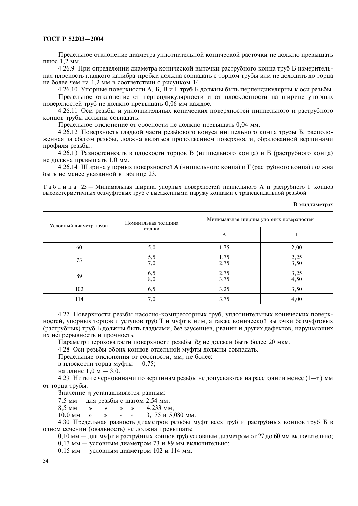Предельное отклонение диаметра уплотнительной конической расточки не должно превышать плюс 1,2 мм.

4.26.9 При определении диаметра конической выточки раструбного конца труб Б измерительная плоскость гладкого калибра-пробки должна совпадать с торцом трубы или не доходить до торца не более чем на 1,2 мм в соответствии с рисунком 14.

4.26.10 Упорные поверхности А. Б. В и Г труб Б должны быть перпендикулярны к оси резьбы. Предельное отклонение от перпендикулярности и от плоскостности на ширине упорных поверхностей труб не должно превышать 0,06 мм каждое.

4.26.11 Оси резьбы и уплотнительных конических поверхностей ниппельного и раструбного концов трубы должны совпадать.

Предельное отклонение от соосности не должно превышать 0,04 мм.

4.26.12 Поверхность гладкой части резьбового конуса ниппельного конца трубы Б, расположенная за сбегом резьбы, должна являться продолжением поверхности, образованной вершинами профиля резьбы.

4.26.13 Разностенность в плоскости торцов В (ниппельного конца) и Б (раструбного конца) не должна превышать 1,0 мм.

4.26.14 Ширина упорных поверхностей А (ниппельного конца) и Г (раструбного конца) должна быть не менее указанной в таблице 23.

Таблица 23 - Минимальная ширина упорных поверхностей ниппельного А и раструбного Г концов высокогерметичных безмуфтовых труб с высаженными наружу концами с трапецеидальной резьбой

В миллиметрах

| Условный диаметр трубы | Номинальная толщина | Минимальная ширина упорных поверхностей |                  |  |  |
|------------------------|---------------------|-----------------------------------------|------------------|--|--|
|                        | стенки              | A                                       |                  |  |  |
| 60                     | 5,0                 | 1,75                                    | 2,00             |  |  |
| 73                     | 5,5<br>7,0          | 1,75<br>2,75                            | $^{2,25}_{3,50}$ |  |  |
| 89                     | $6,5$<br>$8,0$      | $2,75$<br>3,75                          | $3,25$<br>4,50   |  |  |
| 102                    | 6,5                 | 3,25                                    | 3,50             |  |  |
| 114                    | 7,0                 | 3,75                                    | 4,00             |  |  |

4.27 Поверхности резьбы насосно-компрессорных труб, уплотнительных конических поверхностей, упорных торцов и уступов труб Т и муфт к ним, а также конической выточки безмуфтовых (раструбных) труб Б должны быть гладкими, без заусенцев, рванин и других дефектов, нарушающих их непрерывность и прочность.

Параметр шероховатости поверхности резьбы Rz не должен быть более 20 мкм.

4.28 Оси резьбы обоих концов отдельной муфты должны совпадать.

Предельные отклонения от соосности, мм, не более:

в плоскости торца муфты — 0,75;

на длине 1,0 м - 3,0.

4.29 Нитки с черновинами по вершинам резьбы не допускаются на расстоянии менее  $(1-n)$  мм от торца трубы.

Значение п устанавливается равным:

7,5 мм - для резьбы с шагом 2,54 мм;

8.5 MM 4.233 мм:  $\rightarrow$  $\rightarrow$  $\rightarrow$  $\rightarrow$ 

 $10.0$  MM  $\rightarrow$ 3,175 и 5,080 мм.  $\rightarrow$  $\rightarrow$  $\rightarrow$ 

4.30 Предельная разность диаметров резьбы муфт всех труб и раструбных концов труб Б в одном сечении (овальность) не должна превышать:

0,10 мм - для муфт и раструбных концов труб условным диаметром от 27 до 60 мм включительно;

0.13 мм - условным диаметром 73 и 89 мм включительно;

 $0.15$  мм — условным диаметром 102 и 114 мм.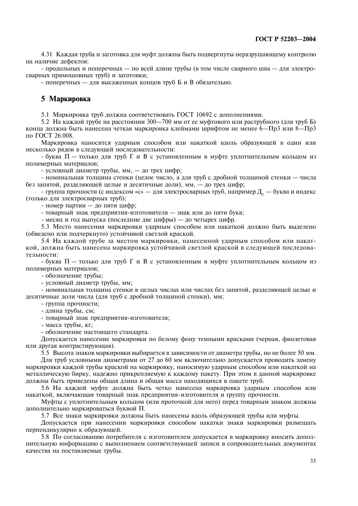4.31 Каждая труба и заготовка для муфт должны быть подвергнуты неразрушающему контролю на наличие дефектов:

- продольных и поперечных - по всей длине трубы (в том числе сварного шва - для электросварных прямошовных труб) и заготовки;

- поперечных - для высаженных концов труб Б и В обязательно.

#### 5 Маркировка

5.1 Маркировка труб должна соответствовать ГОСТ 10692 с дополнениями.

5.2 На каждой трубе на расстоянии 300-700 мм от ее муфтового или раструбного (для труб Б) конца должна быть нанесена четкая маркировка клеймами шрифтом не менее 6—Пр3 или 8—Пр3 по ГОСТ 26.008.

Маркировка наносится ударным способом или накаткой вдоль образующей в один или несколько рядов в следующей последовательности:

- буква  $\Pi$  — только для труб  $\Gamma$  и B с установленным в муфте уплотнительным кольцом из полимерных материалов:

- условный диаметр трубы, мм. — до трех цифр:

- номинальная толщина стенки (целое число, а для труб с дробной толщиной стенки - числа без запятой, разделяющей целые и десятичные доли), мм, — до трех цифр;

- группа прочности (с индексом «с» — для электросварных труб, например Д<sub>с</sub> — буква и индекс (только для электросварных труб);

- номер партии - до пяти цифр;

- товарный знак предприятия-изготовителя - знак или до пяти букв;

- месяц и год выпуска (последние две цифры) — до четырех цифр.

5.3 Место нанесения маркировки ударным способом или накаткой должно быть выделено (обведено или подчеркнуто) устойчивой светлой краской.

5.4 На каждой трубе за местом маркировки, нанесенной ударным способом или накаткой, должна быть нанесена маркировка устойчивой светлой краской в следующей последовательности:

- буква  $\Pi$  — только для труб  $\Gamma$  и B с установленным в муфте уплотнительным кольцом из полимерных материалов;

- обозначение трубы;

- условный диаметр трубы, мм;

- номинальная толщина стенки в целых числах или числах без запятой, разделяющей целые и десятичные доли числа (для труб с дробной толщиной стенки), мм;

- группа прочности;

- длина трубы, см;

- товарный знак предприятия-изготовителя;

- масса трубы, кг;

- обозначение настоящего стандарта.

Допускается нанесение маркировки по белому фону темными красками (черная, фиолетовая или лругая контрастирующая).

5.5 Высота знаков маркировки выбирается в зависимости от диаметра трубы, но не более 50 мм.

Для труб условными диаметрами от 27 до 60 мм включительно допускается проводить замену маркировки каждой трубы краской на маркировку, наносимую ударным способом или накаткой на металлическую бирку, надежно прикрепляемую к каждому пакету. При этом в данной маркировке должны быть приведены общая длина и общая масса находящихся в пакете труб.

5.6 На кажлой муфте лолжна быть четко нанесена маркировка уларным способом или накаткой, включающая товарный знак предприятия-изготовителя и группу прочности.

Муфты с уплотнительным кольцом (или проточкой для него) перед товарным знаком должны дополнительно маркироваться буквой П.

5.7 Все знаки маркировки должны быть нанесены вдоль образующей трубы или муфты.

Допускается при нанесении маркировки способом накатки знаки маркировки размещать перпендикулярно к образующей.

5.8 По согласованию потребителя с изготовителем допускается в маркировку вносить дополнительную информацию с выполнением соответствующей записи в сопроводительных документах качества на поставляемые трубы.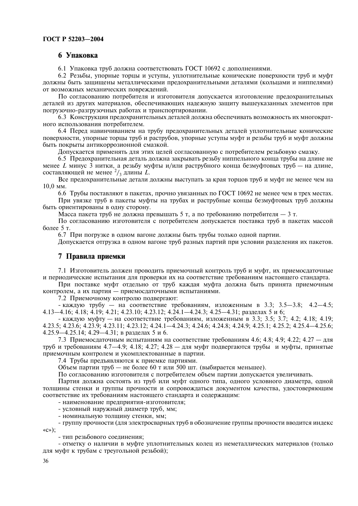#### 6 Упаковка

6.1 Упаковка труб должна соответствовать ГОСТ 10692 с дополнениями.

6.2 Резьбы, упорные торцы и уступы, уплотнительные конические поверхности труб и муфт должны быть защищены металлическими предохранительными деталями (кольцами и ниппелями) от возможных механических повреждений.

По согласованию потребителя и изготовителя допускается изготовление предохранительных деталей из других материалов, обеспечивающих надежную защиту вышеуказанных элементов при погрузочно-разгрузочных работах и транспортировании.

6.3 Конструкция предохранительных деталей должна обеспечивать возможность их многократного использования потребителем.

6.4 Перед навинчиванием на трубу предохранительных деталей уплотнительные конические поверхности, упорные торцы труб и раструбов, упорные уступы муфт и резьбы труб и муфт должны быть покрыты антикоррозионной смазкой.

Допускается применять для этих целей согласованную с потребителем резьбовую смазку.

6.5 Предохранительная деталь должна закрывать резьбу ниппельного конца трубы на длине не менее L минус 3 нитки, а резьбу муфты и/или раструбного конца безмуфтовых труб — на длине, составляющей не менее  $\frac{2}{3}$  длины L.

Все предохранительные детали должны выступать за края торцов труб и муфт не менее чем на  $10.0$  MM.

6.6 Трубы поставляют в пакетах, прочно увязанных по ГОСТ 10692 не менее чем в трех местах.

При увязке труб в пакеты муфты на трубах и раструбные концы безмуфтовых труб должны быть ориентированы в одну сторону.

Масса пакета труб не должна превышать 5 т, а по требованию потребителя - 3 т.

По согласованию изготовителя с потребителем допускается поставка труб в пакетах массой более 5 т.

6.7 При погрузке в одном вагоне должны быть трубы только одной партии.

Лопускается отгрузка в одном вагоне труб разных партий при условии разделения их пакетов.

#### 7 Правила приемки

7.1 Изготовитель должен проводить приемочный контроль труб и муфт, их приемосдаточные и периодические испытания для проверки их на соответствие требованиям настоящего стандарта.

При поставке муфт отдельно от труб каждая муфта должна быть принята приемочным контролем, а их партия - приемосдаточными испытаниями.

7.2 Приемочному контролю подвергают:

- каждую трубу — на соответствие требованиям, изложенным в 3.3; 3.5-3.8; 4.2-4.5; 4.13-4.16; 4.18; 4.19; 4.21; 4.23.10; 4.23.12; 4.24.1-4.24.3; 4.25-4.31; разделах 5 и 6;

- каждую муфту — на соответствие требованиям, изложенным в 3.3; 3.5; 3.7; 4.2; 4.18; 4.19; 4.23.5; 4.23.6; 4.23.9; 4.23.11; 4.23.12; 4.24.1-4.24.3; 4.24.6; 4.24.8; 4.24.9; 4.25.1; 4.25.2; 4.25.4-4.25.6; 4.25.9-4.25.14; 4.29-4.31; в разлелах 5 и 6.

7.3 Приемосдаточным испытаниям на соответствие требованиям 4.6; 4.8; 4.9; 4.22; 4.27 — для труб и требованиям 4.7-4.9; 4.18; 4.27; 4.28 - для муфт подвергаются трубы и муфты, принятые приемочным контролем и укомплектованные в партии.

7.4 Трубы предъявляются к приемке партиями.

Объем партии труб — не более 60 т или 500 шт. (выбирается меньшее).

По согласованию изготовителя с потребителем объем партии допускается увеличивать.

Партия должна состоять из труб или муфт одного типа, одного условного диаметра, одной толщины стенки и группы прочности и сопровождаться документом качества, удостоверяющим соответствие их требованиям настоящего стандарта и содержащим:

- наименование предприятия-изготовителя;

- условный наружный диаметр труб, мм;

- номинальную толщину стенки, мм;

- группу прочности (для электросварных труб в обозначение группы прочности вводится индекс  $\langle CC \rangle$ );

- тип резьбового соединения;

- отметку о наличии в муфте уплотнительных колец из неметаллических материалов (только для муфт к трубам с треугольной резьбой);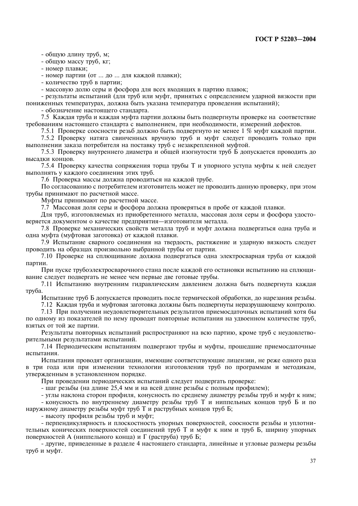- общую длину труб, м;

- общую массу труб, кг;

- номер плавки;

- номер партии (от ... до ... для каждой плавки);

- количество труб в партии;

- массовую долю серы и фосфора для всех входящих в партию плавок;

- результаты испытаний (для труб или муфт, принятых с определением ударной вязкости при пониженных температурах, должна быть указана температура проведения испытаний);

- обозначение настоящего стандарта.

7.5 Каждая труба и каждая муфта партии должны быть подвергнуты проверке на соответствие требованиям настоящего стандарта с выполнением, при необходимости, измерений дефектов.

7.5.1 Проверке соосности резьб должно быть подвергнуто не менее 1 % муфт каждой партии.

7.5.2 Проверку натяга свинченных вручную труб и муфт следует проводить только при выполнении заказа потребителя на поставку труб с незакрепленной муфтой.

7.5.3 Проверку внутреннего диаметра и общей изогнутости труб Б допускается проводить до высалки коннов.

7.5.4 Проверку качества сопряжения торца трубы Т и упорного уступа муфты к ней следует выполнять у каждого соединения этих труб.

7.6 Проверка массы должна проводиться на каждой трубе.

По согласованию с потребителем изготовитель может не проводить данную проверку, при этом трубы принимают по расчетной массе.

Муфты принимают по расчетной массе.

7.7 Массовая доля серы и фосфора должна проверяться в пробе от каждой плавки.

Для труб, изготовляемых из приобретенного металла, массовая лоля серы и фосфора улостоверяется документом о качестве предприятия-изготовителя металла.

7.8 Проверке механических свойств металла труб и муфт должна подвергаться одна труба и одна муфта (муфтовая заготовка) от каждой плавки.

7.9 Испытание сварного соединения на твердость, растяжение и ударную вязкость следует проводить на образцах произвольно выбранной трубы от партии.

7.10 Проверке на сплющивание должна подвергаться одна электросварная труба от каждой партии.

При пуске трубоэлектросварочного стана после каждой его остановки испытанию на сплющивание следует подвергать не менее чем первые две готовые трубы.

7.11 Испытанию внутренним гидравлическим давлением должна быть подвергнута каждая труба.

Испытание труб Б допускается проводить после термической обработки, до нарезания резьбы.

7.12 Каждая труба и муфтовая заготовка должны быть подвергнуты неразрушающему контролю.

7.13 При получении неудовлетворительных результатов приемосдаточных испытаний хотя бы по одному из показателей по нему проводят повторные испытания на удвоенном количестве труб, взятых от той же партии.

Результаты повторных испытаний распространяют на всю партию, кроме труб с неудовлетворительными результатами испытаний.

7.14 Периодическим испытаниям подвергают трубы и муфты, прошедшие приемосдаточные испытания.

Испытания проводят организации, имеющие соответствующие лицензии, не реже одного раза в три года или при изменении технологии изготовления труб по программам и методикам, утвержденным в установленном порядке.

При проведении периодических испытаний следует подвергать проверке:

- шаг резьбы (на длине 25,4 мм и на всей длине резьбы с полным профилем);

- углы наклона сторон профиля, конусность по среднему диаметру резьбы труб и муфт к ним; - конусность по внутреннему диаметру резьбы труб Т и ниппельных концов труб Б и по наружному диаметру резьбы муфт труб Т и раструбных концов труб Б;

- высоту профиля резьбы труб и муфт;

- перпендикулярность и плоскостность упорных поверхностей, соосности резьбы и уплотнительных конических поверхностей соединений труб Т и муфт к ним и труб Б, ширину упорных поверхностей А (ниппельного конца) и Г (раструба) труб Б;

- другие, приведенные в разделе 4 настоящего стандарта, линейные и угловые размеры резьбы труб и муфт.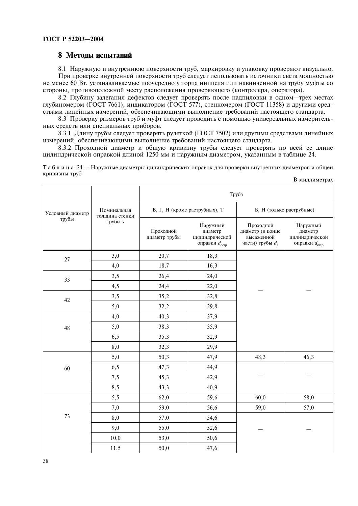#### 8 Методы испытаний

8.1 Наружную и внутреннюю поверхности труб, маркировку и упаковку проверяют визуально. При проверке внутренней поверхности труб следует использовать источники света мощностью не менее 60 Вт, устанавливаемые поочередно у торца ниппеля или навинченной на трубу муфты со стороны, противоположной месту расположения проверяющего (контролера, оператора).

8.2 Глубину залегания дефектов следует проверять после надпиловки в одном-трех местах глубиномером (ГОСТ 7661), индикатором (ГОСТ 577), стенкомером (ГОСТ 11358) и другими средствами линейных измерений, обеспечивающими выполнение требований настоящего стандарта.

8.3 Проверку размеров труб и муфт следует проводить с помощью универсальных измерительных средств или специальных приборов.

8.3.1 Длину трубы следует проверять рулеткой (ГОСТ 7502) или другими средствами линейных измерений, обеспечивающими выполнение требований настоящего стандарта.

8.3.2 Проходной диаметр и общую кривизну трубы следует проверять по всей ее длине цилиндрической оправкой длиной 1250 мм и наружным диаметром, указанным в таблице 24.

Таблица 24 — Наружные диаметры цилиндрических оправок для проверки внутренних диаметров и общей кривизны труб

| В миллиметрах |  |
|---------------|--|
|---------------|--|

|                  |                               |                               | Труба                                                             |                                                                         |                                                                   |
|------------------|-------------------------------|-------------------------------|-------------------------------------------------------------------|-------------------------------------------------------------------------|-------------------------------------------------------------------|
| Условный диаметр | Номинальная<br>толщина стенки | В, Г, Н (кроме раструбных), Т |                                                                   | Б, Н (только раструбные)                                                |                                                                   |
| трубы            | трубы <i>s</i>                | Проходной<br>диаметр трубы    | Наружный<br>диаметр<br>цилиндрической<br>оправки $d_{\text{omp}}$ | Проходной<br>диаметр (в конце<br>высаженной<br>части) трубы $d_{\rm B}$ | Наружный<br>диаметр<br>цилиндрической<br>оправки $d_{\text{omp}}$ |
| 27               | 3,0                           | 20,7                          | 18,3                                                              |                                                                         |                                                                   |
|                  | 4,0                           | 18,7                          | 16,3                                                              |                                                                         |                                                                   |
| 33               | 3,5                           | 26,4                          | 24,0                                                              |                                                                         |                                                                   |
|                  | 4,5                           | 24,4                          | 22,0                                                              |                                                                         |                                                                   |
| 42               | 3,5                           | 35,2                          | 32,8                                                              |                                                                         |                                                                   |
|                  | 5,0                           | 32,2                          | 29,8                                                              |                                                                         |                                                                   |
|                  | 4,0                           | 40,3                          | 37,9                                                              |                                                                         |                                                                   |
| 48               | 5,0                           | 38,3                          | 35,9                                                              |                                                                         |                                                                   |
|                  | 6,5                           | 35,3                          | 32,9                                                              |                                                                         |                                                                   |
|                  | 8,0                           | 32,3                          | 29,9                                                              |                                                                         |                                                                   |
|                  | 5,0                           | 50,3                          | 47,9                                                              | 48,3                                                                    | 46,3                                                              |
| 60               | 6,5                           | 47,3                          | 44,9                                                              |                                                                         |                                                                   |
|                  | 7,5                           | 45,3                          | 42,9                                                              |                                                                         |                                                                   |
|                  | 8,5                           | 43,3                          | 40,9                                                              |                                                                         |                                                                   |
|                  | 5,5                           | 62,0                          | 59,6                                                              | 60,0                                                                    | 58,0                                                              |
|                  | 7,0                           | 59,0                          | 56,6                                                              | 59,0                                                                    | 57,0                                                              |
| 73               | 8,0                           | 57,0                          | 54,6                                                              |                                                                         |                                                                   |
|                  | 9,0                           | 55,0                          | 52,6                                                              |                                                                         |                                                                   |
|                  | 10,0                          | 53,0                          | 50,6                                                              |                                                                         |                                                                   |
|                  | 11,5                          | 50,0                          | 47,6                                                              |                                                                         |                                                                   |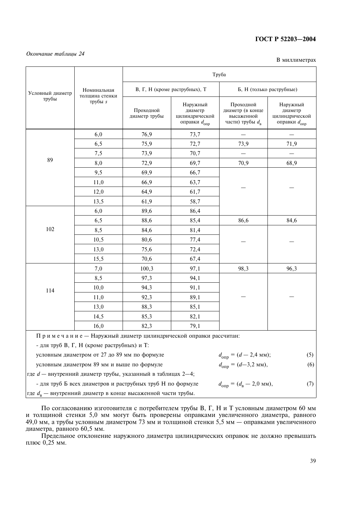#### Окончание таблицы 24

В миллиметрах

|                  |                                                                      |                            |                                                                   | Труба                                                                   |                                                                   |
|------------------|----------------------------------------------------------------------|----------------------------|-------------------------------------------------------------------|-------------------------------------------------------------------------|-------------------------------------------------------------------|
| Условный диаметр | Номинальная<br>толщина стенки                                        |                            | В, Г, Н (кроме раструбных), Т                                     | Б, Н (только раструбные)                                                |                                                                   |
| трубы            | трубы s                                                              | Проходной<br>диаметр трубы | Наружный<br>диаметр<br>цилиндрической<br>оправки $d_{\text{onp}}$ | Проходной<br>диаметр (в конце<br>высаженной<br>части) трубы $d_{\rm B}$ | Наружный<br>диаметр<br>цилиндрической<br>оправки $d_{\text{onp}}$ |
|                  | 6,0                                                                  | 76,9                       | 73,7                                                              |                                                                         |                                                                   |
|                  | 6,5                                                                  | 75,9                       | 72,7                                                              | 73,9                                                                    | 71,9                                                              |
|                  | 7,5                                                                  | 73,9                       | 70,7                                                              |                                                                         |                                                                   |
| 89               | 8,0                                                                  | 72,9                       | 69,7                                                              | 70,9                                                                    | 68,9                                                              |
|                  | 9,5                                                                  | 69,9                       | 66,7                                                              |                                                                         |                                                                   |
|                  | 11,0                                                                 | 66,9                       | 63,7                                                              |                                                                         |                                                                   |
|                  | 12,0                                                                 | 64,9                       | 61,7                                                              |                                                                         |                                                                   |
|                  | 13,5                                                                 | 61,9                       | 58,7                                                              |                                                                         |                                                                   |
|                  | 6,0                                                                  | 89,6                       | 86,4                                                              |                                                                         |                                                                   |
|                  | 6,5                                                                  | 88,6                       | 85,4                                                              | 86,6                                                                    | 84,6                                                              |
| 102              | 8,5                                                                  | 84,6                       | 81,4                                                              |                                                                         |                                                                   |
|                  | 10,5                                                                 | 80,6                       | 77,4                                                              |                                                                         |                                                                   |
|                  | 13,0                                                                 | 75,6                       | 72,4                                                              |                                                                         |                                                                   |
|                  | 15,5                                                                 | 70,6                       | 67,4                                                              |                                                                         |                                                                   |
|                  | 7,0                                                                  | 100,3                      | 97,1                                                              | 98,3                                                                    | 96,3                                                              |
|                  | 8,5                                                                  | 97,3                       | 94,1                                                              |                                                                         |                                                                   |
| 114              | 10,0                                                                 | 94,3                       | 91,1                                                              |                                                                         |                                                                   |
|                  | 11,0                                                                 | 92,3                       | 89,1                                                              |                                                                         |                                                                   |
|                  | 13,0                                                                 | 88,3                       | 85,1                                                              |                                                                         |                                                                   |
|                  | 14,5                                                                 | 85,3                       | 82,1                                                              |                                                                         |                                                                   |
|                  | 16,0                                                                 | 82,3                       | 79,1                                                              |                                                                         |                                                                   |
|                  | Примечание - Наружный диаметр цилиндрической оправки рассчитан:      |                            |                                                                   |                                                                         |                                                                   |
|                  | - для труб В, Г, Н (кроме раструбных) и Т:                           |                            |                                                                   |                                                                         |                                                                   |
|                  | условным диаметром от 27 до 89 мм по формуле                         |                            |                                                                   | $d_{\text{om}} = (d - 2.4 \text{ mm})$ ;                                | (5)                                                               |
|                  | условным диаметром 89 мм и выше по формуле                           |                            |                                                                   | $d_{\text{om}} = (d - 3.2 \text{ MM}),$                                 | (6)                                                               |
|                  | где $d$ — внутренний диаметр трубы, указанный в таблицах 2-4;        |                            |                                                                   |                                                                         |                                                                   |
|                  | - для труб Б всех диаметров и раструбных труб Н по формуле           |                            |                                                                   | $d_{\text{onp}} = (d_{\text{B}} - 2.0 \text{ mm}),$                     | (7)                                                               |
|                  | где $d_{\rm B}$ — внутренний диаметр в конце высаженной части трубы. |                            |                                                                   |                                                                         |                                                                   |

По согласованию изготовителя с потребителем трубы В, Г, Н и Т условным диаметром 60 мм и толщиной стенки 5,0 мм могут быть проверены оправками увеличенного диаметра, равного 49,0 мм, а трубы условным диаметром 73 мм и тол диаметра, равного 60,5 мм.

Предельное отклонение наружного диаметра цилиндрических оправок не должно превышать плюс 0,25 мм.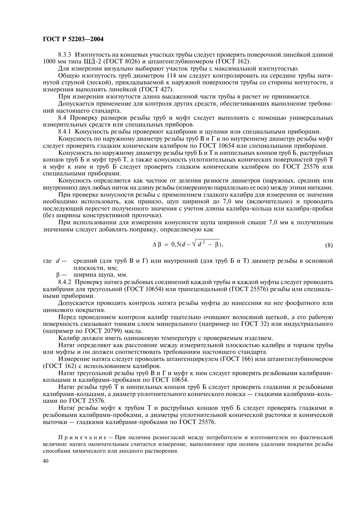8.3.3 Изогнутость на концевых участках трубы следует проверять поверочной линейкой длиной 1000 мм типа ШД-2 (ГОСТ 8026) и штангенглубиномером (ГОСТ 162).

Для измерения визуально выбирают участок трубы с максимальной изогнутостью.

Общую изогнутость труб диаметром 114 мм следует контролировать на середине трубы натянутой струной (леской), прикладываемой к наружной поверхности трубы со стороны вогнутости, а измерения выполнять линейкой (ГОСТ 427).

При измерении изогнутости длина высаженной части трубы в расчет не принимается.

Допускается применение для контроля других средств, обеспечивающих выполнение требований настоящего стандарта.

8.4 Проверку размеров резьбы труб и муфт следует выполнять с помощью универсальных измерительных средств или специальных приборов.

8.4.1 Конусность резьбы проверяют калибрами и шупами или специальными приборами.

Конусность по наружному диаметру резьбы труб В и Г и по внутреннему диаметру резьбы муфт следует проверять гладким коническим калибром по ГОСТ 10654 или специальными приборами.

Конусность по наружному диаметру резьбы труб Б и Т и ниппельных концов труб Б, раструбных концов труб Б и муфт труб Т, а также конусность уплотнительных конических поверхностей труб Т и муфт к ним и труб Б следует проверять гладким коническим калибром по ГОСТ 25576 или специальными приборами.

Конусность определяется как частное от деления разности диаметров (наружных, средних или внутренних) двух любых ниток на длину резьбы (измеренную параллельно ее оси) между этими нитками.

При проверке конусности резьбы с применением гладкого калибра для измерения ее значения необходимо использовать, как правило, щуп шириной до 7,0 мм (включительно) и проводить последующий пересчет полученного значения с учетом длины калибра-кольца или калибра-пробки (без ширины конструктивной проточки).

При использовании для измерения конусности шупа шириной свыше 7.0 мм к полученным значениям слелует лобавлять поправку, опрелеляемую как

$$
\Delta \beta = 0, 5(d - \sqrt{d^2 - \beta}), \tag{8}
$$

где  $d$  — средний (для труб B и Г) или внутренний (для труб Б и Т) диаметр резьбы в основной плоскости, мм;

 $\beta$  ширина шупа, мм.

8.4.2 Проверку натяга резьбовых соединений каждой трубы и каждой муфты следует проводить калибрами для треугольной (ГОСТ 10654) или трапецеидальной (ГОСТ 25576) резьбы или специальными приборами.

Допускается проводить контроль натяга резьбы муфты до нанесения на нее фосфатного или цинкового покрытия.

Перед проведением контроля калибр тщательно очищают волосяной щеткой, а его рабочую поверхность смазывают тонким слоем минерального (например по ГОСТ 32) или индустриального (например по ГОСТ 20799) масла.

Калибр должен иметь одинаковую температуру с проверяемым изделием.

Натяг определяют как расстояние между измерительной плоскостью калибра и торцом трубы или муфты и он должен соответствовать требованиям настоящего стандарта.

Измерение натяга следует проводить штангенциркулем (ГОСТ 166) или штангенглубиномером (ГОСТ 162) с использованием калибров.

Натяг треугольной резьбы труб В и Г и муфт к ним следует проверять резьбовыми калибрамикольцами и калибрами-пробками по ГОСТ 10654.

Натяг резьбы труб Т и ниппельных концов труб Б следует проверять гладкими и резьбовыми калибрами-кольцами, а диаметр уплотнительного конического пояска — гладкими калибрами-кольцами по ГОСТ 25576.

Натяг резьбы муфт к трубам Т и раструбных концов труб Б следует проверять гладкими и резьбовыми калибрами-пробками, а диаметры уплотнительной конической расточки и конической выточки - гладкими калибрами-пробками по ГОСТ 25576.

Примечание - При наличии разногласий между потребителем и изготовителем по фактической величине натяга окончательным считается измерение, выполненное при полном удалении покрытия резьбы способами химического или анодного растворения.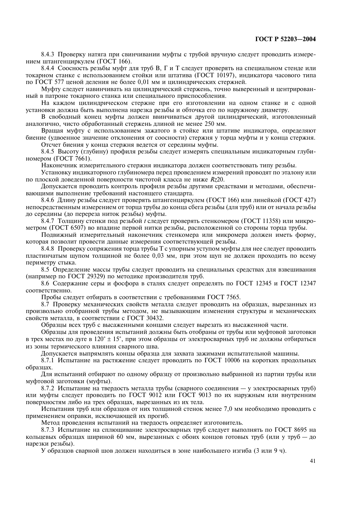8.4.3 Проверку натяга при свинчивании муфты с трубой вручную следует проводить измерением штангенциркулем (ГОСТ 166).

8.4.4 Соосность резьбы муфт для труб В, Г и Т следует проверять на специальном стенде или токарном станке с использованием стойки или штатива (ГОСТ 10197), индикатора часового типа по ГОСТ 577 ценой деления не более 0,01 мм и цилиндрических стержней.

Муфту следует навинчивать на цилиндрический стержень, точно выверенный и центрированный в патроне токарного станка или специального приспособления.

На каждом цилиндрическом стержне при его изготовлении на одном станке и с одной установки должна быть выполнена нарезка резьбы и обточка его по наружному диаметру.

В свободный конец муфты должен ввинчиваться другой цилиндрический, изготовленный аналогично, чисто обработанный стержень длиной не менее 250 мм.

Вращая муфту с использованием зажатого в стойке или штативе индикатора, определяют биение (удвоенное значение отклонения от соосности) стержня у торца муфты и у конца стержня. Отсчет биения у конца стержня ведется от середины муфты.

8.4.5 Высоту (глубину) профиля резьбы следует измерять специальным индикаторным глубиномером (ГОСТ  $7661$ ).

Наконечник измерительного стержня индикатора должен соответствовать типу резьбы.

Установку индикаторного глубиномера перед проведением измерений проводят по эталону или по плоской доведенной поверхности чистотой класса не ниже Rz20.

Допускается проводить контроль профиля резьбы другими средствами и методами, обеспечивающими выполнение требований настоящего стандарта.

8.4.6 Длину резьбы следует проверять штангенциркулем (ГОСТ 166) или линейкой (ГОСТ 427) непосредственным измерением от торца трубы до конца сбега резьбы (для труб) или от начала резьбы до середины (до перереза ниток резьбы) муфты.

8.4.7 Толшину стенки пол резьбой *t* слелует проверять стенкомером (ГОСТ 11358) или микрометром (ГОСТ 6507) во впадине первой нитки резьбы, расположенной со стороны торца трубы.

Подвижный измерительный наконечник стенкомера или микромера должен иметь форму, которая позволит провести данные измерения соответствующей резьбы.

8.4.8 Проверку сопряжения торца трубы Т с упорным уступом муфты для нее следует проводить пластинчатым шупом толщиной не более 0,03 мм, при этом щуп не должен проходить по всему периметру стыка.

8.5 Определение массы трубы следует проводить на специальных средствах для взвешивания (например по ГОСТ 29329) по методике производителя труб.

8.6 Содержание серы и фосфора в сталях следует определять по ГОСТ 12345 и ГОСТ 12347 соответственно.

Пробы следует отбирать в соответствии с требованиями ГОСТ 7565.

8.7 Проверку механических свойств металла следует проводить на образцах, вырезанных из произвольно отобранной трубы методом, не вызывающим изменения структуры и механических свойств металла, в соответствии с ГОСТ 30432.

Образцы всех труб с высаженными концами следует вырезать из высаженной части.

Образцы для проведения испытаний должны быть отобраны от трубы или муфтовой заготовки в трех местах по дуге в  $120^{\circ} \pm 15^{\circ}$ , при этом образцы от электросварных труб не должны отбираться из зоны термического влияния сварного шва.

Допускается выпрямлять концы образца для захвата зажимами испытательной машины.

8.7.1 Испытание на растяжение следует проводить по ГОСТ 10006 на коротких продольных образнах.

Для испытаний отбирают по одному образцу от произвольно выбранной из партии трубы или муфтовой заготовки (муфты).

8.7.2 Испытание на твердость металла трубы (сварного соединения — у электросварных труб) или муфты следует проводить по ГОСТ 9012 или ГОСТ 9013 по их наружным или внутренним поверхностям либо на трех образцах, вырезанных из их тела.

Испытания труб или образцов от них толщиной стенок менее 7,0 мм необходимо проводить с применением оправки, исключающей их прогиб.

Метод проведения испытаний на твердость определяет изготовитель.

8.7.3 Испытание на сплющивание электросварных труб следует выполнять по ГОСТ 8695 на кольцевых образцах шириной 60 мм, вырезанных с обоих концов готовых труб (или у труб - до нарезки резьбы).

У образцов сварной шов должен находиться в зоне наибольшего изгиба (3 или 9 ч).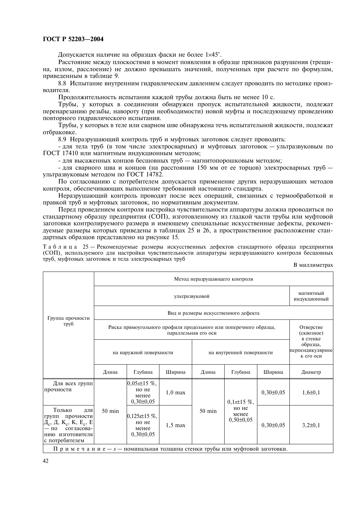Допускается наличие на образцах фаски не более 1×45°.

Расстояние между плоскостями в момент появления в образце признаков разрушения (трещина, излом, расслоение) не должно превышать значений, полученных при расчете по формулам, приведенным в таблице 9.

8.8 Испытание внутренним гилравлическим лавлением слелует проволить по метолике произволителя.

Продолжительность испытания каждой трубы должна быть не менее 10 с.

Трубы, у которых в соединении обнаружен пропуск испытательной жидкости, подлежат перенарезанию резьбы, навороту (при необхолимости) новой муфты и послелующему провелению повторного гидравлического испытания.

Трубы, у которых в теле или сварном шве обнаружена течь испытательной жидкости, подлежат отбраковке.

8.9 Неразрушающий контроль труб и муфтовых заготовок следует проводить:

- для тела труб (в том числе электросварных) и муфтовых заготовок — ультразвуковым по ГОСТ 17410 или магнитным индукционным методом;

- для высаженных концов бесшовных труб - магнитопорошковым методом;

- для сварного шва и концов (на расстоянии 150 мм от ее торцов) электросварных труб ультразвуковым методом по ГОСТ 14782.

По согласованию с потребителем допускается применение других неразрушающих методов контроля, обеспечивающих выполнение требований настоящего стандарта.

Неразрушающий контроль проволят после всех операций, связанных с термообработкой и правкой труб и муфтовых заготовок, по нормативным документам.

Перед проведением контроля настройка чувствительности аппаратуры должна проводиться по стандартному образцу предприятия (СОП), изготовленному из гладкой части трубы или муфтовой заготовки контролируемого размера и имеющему специальные искусственные дефекты, рекомендуемые размеры которых приведены в таблицах 25 и 26, а пространственное расположение стандартных образцов представлено на рисунке 15.

Таблица 25 — Рекомендуемые размеры искусственных дефектов стандартного образца предприятия (СОП), используемого для настройки чувствительности аппаратуры неразрушающего контроля бесшовных труб, муфтовых заготовок и тела электросварных труб

В миллиметрах

|                                                                                                                                                                   |                  |                                                                   |                      | Метод неразрушающего контроля |                                      |               |                                           |
|-------------------------------------------------------------------------------------------------------------------------------------------------------------------|------------------|-------------------------------------------------------------------|----------------------|-------------------------------|--------------------------------------|---------------|-------------------------------------------|
|                                                                                                                                                                   |                  |                                                                   | ультразвуковой       |                               |                                      |               | магнитный<br><b>ИНДУКЦИОННЫЙ</b>          |
| Группа прочности                                                                                                                                                  |                  |                                                                   |                      |                               | Вид и размеры искусственного дефекта |               |                                           |
| труб                                                                                                                                                              |                  | Риска прямоугольного профиля продольного или поперечного образца, | параллельная его оси |                               |                                      |               | Отверстие<br>(сквозное)<br>в стенке       |
|                                                                                                                                                                   |                  | на наружной поверхности                                           |                      |                               | на внутренней поверхности            |               | образца,<br>перпендикулярное<br>к его оси |
|                                                                                                                                                                   | Длина            | Глубина                                                           | Ширина               | Длина                         | Глубина                              | Ширина        | Диаметр                                   |
| Для всех групп<br>прочности                                                                                                                                       |                  | $0,05s \pm 15$ %,<br>но не<br>менее<br>$0,30\pm0,05$              | $1,0$ max            |                               | $0,1s\pm 15\%$                       | $0,30\pm0,05$ | $1,6 \pm 0,1$                             |
| Только<br>ДЛЯ<br>прочности<br>групп<br>$\overline{A}_c$ , Д, К <sub>с</sub> , К, Е <sub>с</sub> , Е<br>согласова-<br>$-\pi$<br>нию изготовителя<br>с потребителем | $50 \text{ min}$ | $0,125$ s±15 %,<br>но не<br>менее<br>$0,30\pm0,05$                | $1,5$ max            | $50 \text{ min}$              | но не<br>менее<br>$0,50\pm0,05$      | $0,30\pm0,05$ | $3,2\pm 0,1$                              |
| $\Pi$ римечание – s — номинальная толшина стенки трубы или муфтовой заготовки.                                                                                    |                  |                                                                   |                      |                               |                                      |               |                                           |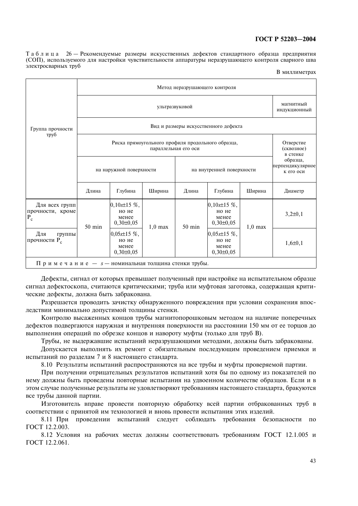Таблица 26 — Рекомендуемые размеры искусственных дефектов стандартного образца предприятия (СОП), используемого для настройки чувствительности аппаратуры неразрушающего контроля сварного шва электросварных труб

В миллиметрах

|                                                      |                  |                                                      |                      |        | Метод неразрушающего контроля                        |           |                                           |
|------------------------------------------------------|------------------|------------------------------------------------------|----------------------|--------|------------------------------------------------------|-----------|-------------------------------------------|
|                                                      |                  |                                                      | ультразвуковой       |        |                                                      |           | магнитный<br><b>ИНДУКЦИОННЫЙ</b>          |
| Группа прочности                                     |                  |                                                      |                      |        | Вид и размеры искусственного дефекта                 |           |                                           |
| труб                                                 |                  |                                                      | параллельная его оси |        | Риска прямоугольного профиля продольного образца,    |           | Отверстие<br>(сквозное)<br>в стенке       |
|                                                      |                  | на наружной поверхности                              |                      |        | на внутренней поверхности                            |           | образца,<br>перпендикулярное<br>к его оси |
|                                                      | Длина            | Глубина                                              | Ширина               | Длина  | Глубина                                              | Ширина    | Диаметр                                   |
| Для всех групп<br>прочности, кроме<br>$P_c$          | $50 \text{ min}$ | $0,10s\pm15\%$ ,<br>но не<br>менее<br>$0,30\pm0,05$  | $1,0$ max            | 50 min | $0,10s\pm15\%$<br>но не<br>менее<br>$0,30\pm0,05$    | $1,0$ max | $3,2\pm0,1$                               |
| Для<br>группы<br>прочности Р.                        |                  | $0,05s \pm 15$ %,<br>но не<br>менее<br>$0,30\pm0,05$ |                      |        | $0,05s \pm 15$ %,<br>но не<br>менее<br>$0,30\pm0,05$ |           | $1,6 \pm 0,1$                             |
| Примечание - $s$ - номинальная толщина стенки трубы. |                  |                                                      |                      |        |                                                      |           |                                           |

Дефекты, сигнал от которых превышает полученный при настройке на испытательном образце сигнал дефектоскопа, считаются критическими; труба или муфтовая заготовка, содержащая критические дефекты, должна быть забракована.

Разрешается проводить зачистку обнаруженного повреждения при условии сохранения впоследствии минимально допустимой толщины стенки.

Контролю высаженных концов трубы магнитопорошковым методом на наличие поперечных дефектов подвергаются наружная и внутренняя поверхности на расстоянии 150 мм от ее торцов до выполнения операций по обрезке концов и навороту муфты (только для труб В).

Трубы, не выдержавшие испытаний неразрушающими методами, должны быть забракованы.

Допускается выполнять их ремонт с обязательным последующим проведением приемки и испытаний по разделам 7 и 8 настоящего стандарта.

8.10 Результаты испытаний распространяются на все трубы и муфты проверяемой партии.

При получении отрицательных результатов испытаний хотя бы по одному из показателей по нему должны быть проведены повторные испытания на удвоенном количестве образцов. Если и в этом случае полученные результаты не удовлетворяют требованиям настоящего стандарта, бракуются все трубы данной партии.

Изготовитель вправе провести повторную обработку всей партии отбракованных труб в соответствии с принятой им технологией и вновь провести испытания этих изделий.

8.11 При проведении испытаний следует соблюдать требования безопасности по ГОСТ 12.2.003.

8.12 Условия на рабочих местах должны соответствовать требованиям ГОСТ 12.1.005 и ГОСТ 12.2.061.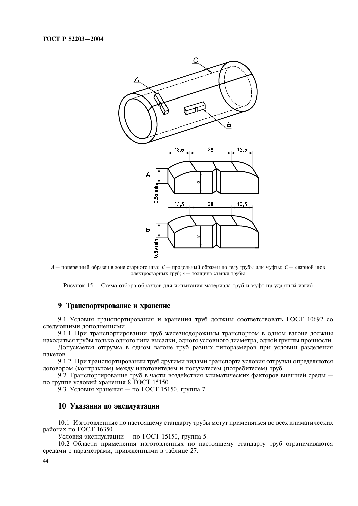

 $A$  — поперечный образец в зоне сварного шва;  $B$  — продольный образец по телу трубы или муфты;  $C$  — сварной шов электросварных труб; *s* - толщина стенки трубы

Рисунок 15 — Схема отбора образцов для испытания материала труб и муфт на ударный изгиб

### 9 Транспортирование и хранение

9.1 Условия транспортирования и хранения труб должны соответствовать ГОСТ 10692 со следующими дополнениями.

9.1.1 При транспортировании труб железнодорожным транспортом в одном вагоне должны находиться трубы только одного типа высадки, одного условного диаметра, одной группы прочности.

Допускается отгрузка в одном вагоне труб разных типоразмеров при условии разделения пакетов.

9.1.2 При транспортировании труб другими видами транспорта условия отгрузки определяются договором (контрактом) между изготовителем и получателем (потребителем) труб.

9.2 Транспортирование труб в части воздействия климатических факторов внешней среды по группе условий хранения 8 ГОСТ 15150.

9.3 Условия хранения – по ГОСТ 15150, группа 7.

#### 10 Указания по эксплуатации

10.1 Изготовленные по настоящему стандарту трубы могут применяться во всех климатических районах по ГОСТ 16350.

Условия эксплуатации - по ГОСТ 15150, группа 5.

10.2 Области применения изготовленных по настоящему стандарту труб ограничиваются средами с параметрами, приведенными в таблице 27.

44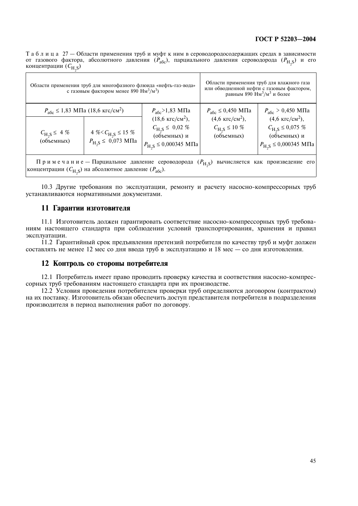Таблица 27 - Области применения труб и муфт к ним в сероводородосодержащих средах в зависимости от газового фактора, абсолютного давления  $(P_{a\bar{b}c})$ , парциального давления сероводорода  $(P_H s)$  и его концентрации (C<sub>H,S</sub>)

|                                                  | Области применения труб для многофазного флюида «нефть-газ-вода»<br>с газовым фактором менее 890 $\text{Hm}^3/\text{m}^3$ ) |                                                                                                                                            |                                                                      | Области применения труб для влажного газа<br>или обводненной нефти с газовым фактором,<br>равным 890 Нм <sup>3</sup> /м <sup>3</sup> и более |
|--------------------------------------------------|-----------------------------------------------------------------------------------------------------------------------------|--------------------------------------------------------------------------------------------------------------------------------------------|----------------------------------------------------------------------|----------------------------------------------------------------------------------------------------------------------------------------------|
|                                                  | $P_{\text{a}6c} \le 1,83 \text{ M} \Pi \text{a} (18,6 \text{ kpc/cm}^2)$                                                    | $P_{\text{a}6c}$ > 1,83 M $\Pi$ a                                                                                                          | $P_{\text{a}6c} \leq 0,450 \text{ M} \Pi \text{a}$                   | $P_{\text{a}6c}$ > 0,450 ΜΠa                                                                                                                 |
| $C_{\text{H}_2\text{S}} \leq 4 \%$<br>(объемных) | 4 % < $C_{\text{H}_2\text{S}} \leq 15$ %<br>$P_{\text{H}_2\text{S}} \leq 0.073 \text{ M} \Pi \text{a}$                      | $(18.6 \text{ KTC/cm}^2)$ ,<br>$C_{\text{H}_2\text{S}} \leq 0.02 \%$<br>(объемных) и<br>$P_{\text{H}_2\text{S}} \le 0,000345 \text{ M}$ Па | $(4.6 \text{ KTC/cm}^2)$ ,<br>$C_{\rm H, S} \le 10 \%$<br>(объемных) | $(4.6 \text{ KTC/cm}^2)$ ,<br>$C_{\text{H}_2\text{S}} \leq 0.075 \%$<br>(объемных) и<br>$P_{\text{H}_2\text{S}} \le 0,000345 \text{ M}$ Па   |
|                                                  |                                                                                                                             |                                                                                                                                            |                                                                      |                                                                                                                                              |

Примечание – Парциальное давление сероводорода ( $P_{H, S}$ ) вычисляется как произведение его концентрации ( $C_{H,S}$ ) на абсолютное давление ( $P_{\text{a}6c}$ ).

10.3 Другие требования по эксплуатации, ремонту и расчету насосно-компрессорных труб устанавливаются нормативными документами.

#### 11 Гарантии изготовителя

11.1 Изготовитель должен гарантировать соответствие насосно-компрессорных труб требованиям настоящего стандарта при соблюдении условий транспортирования, хранения и правил эксплуатации.

11.2 Гарантийный срок предъявления претензий потребителя по качеству труб и муфт должен составлять не менее 12 мес со дня ввода труб в эксплуатацию и 18 мес - со дня изготовления.

#### 12 Контроль со стороны потребителя

12.1 Потребитель имеет право проводить проверку качества и соответствия насосно-компрессорных труб требованиям настоящего стандарта при их производстве.

12.2 Условия проведения потребителем проверки труб определяются договором (контрактом) на их поставку. Изготовитель обязан обеспечить доступ представителя потребителя в подразделения производителя в период выполнения работ по договору.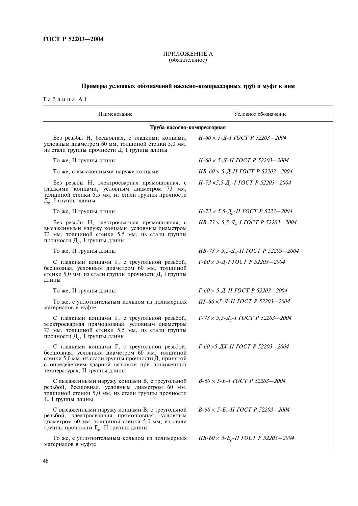# ПРИЛОЖЕНИЕ А<br>(обязательное)

# Примеры условных обозначений насосно-компрессорных труб и муфт к ним

Таблица А.1

| Наименование                                                                                                                                                                                                                             | Условное обозначение                                                  |
|------------------------------------------------------------------------------------------------------------------------------------------------------------------------------------------------------------------------------------------|-----------------------------------------------------------------------|
|                                                                                                                                                                                                                                          | Труба насосно-компрессорная                                           |
| Без резьбы Н, бесшовная, с гладкими концами,<br>условным диаметром 60 мм, толщиной стенки 5,0 мм,<br>из стали группы прочности Д, I группы длины                                                                                         | $H$ -60 $\times$ 5- $H$ -I ГОСТ Р 52203-2004                          |
| То же, II группы длины                                                                                                                                                                                                                   | $H$ -60 $\times$ 5- $H$ -II ГОСТ Р 52203-2004                         |
| То же, с высаженными наружу концами                                                                                                                                                                                                      | $HB-60 \times 5$ - <i>Д</i> -II ГОСТ Р 52203-2004                     |
| Без резьбы Н, электросварная прямошовная, с<br>гладкими концами, условным диаметром 73 мм,<br>толщиной стенки 5,5 мм, из стали группы прочности<br>$\overline{A}_{c}$ , I группы длины                                                   | $H$ -73 $\times$ 5,5- $\frac{\pi}{c}$ -I ГОСТ Р 52203-2004            |
| То же, II группы длины                                                                                                                                                                                                                   | $H$ -73 $\times$ 5,5- $I_{c}$ -II ГОСТ Р 5223-2004                    |
| Без резьбы Н, электросварная прямошовная, с<br>высаженными наружу концами, условным диаметром<br>73 мм, толщиной стенки 5,5 мм, из стали группы<br>прочности Д <sub>с</sub> , I группы длины                                             | $HB-73 \times 5, 5 - \frac{\text{N}}{\text{c}-1}$ $TOCT$ P 52203-2004 |
| То же, II группы длины                                                                                                                                                                                                                   | $HB-73 \times 5, 5-\mu_c-H$ FOCT P 52203-2004                         |
| С гладкими концами Г, с треугольной резьбой,<br>бесшовная, условным диаметром 60 мм, толщиной<br>стенки 5,0 мм, из стали группы прочности Д, I группы<br>ДЛИНЫ                                                                           | $I-60 \times 5 - I - I$ $IOCT$ $P$ 52203-2004                         |
| То же, II группы длины                                                                                                                                                                                                                   | $\Gamma$ -60 $\times$ 5- $\pi$ -II ГОСТ Р 52203-2004                  |
| То же, с уплотнительным кольцом из полимерных<br>материалов в муфте                                                                                                                                                                      | ПГ-60 ×5-Д-II ГОСТ Р 52203-2004                                       |
| С гладкими концами Г, с треугольной резьбой,<br>электросварная прямошовная, условным диаметром<br>73 мм, толщиной стенки 5,5 мм, из стали группы<br>прочности Д <sub>с</sub> , I группы длины                                            | $\Gamma$ -73 $\times$ 5,5- $\mu$ <sub>c</sub> -I ГОСТ Р 52203-2004    |
| С гладкими концами Г, с треугольной резьбой,<br>бесшовная, условным диаметром 60 мм, толщиной<br>стенки 5,0 мм, из стали группы прочности Д, принятой<br>с определением ударной вязкости при пониженных<br>температурах, II группы длины | Г-60 ×5-ДХ-II ГОСТ Р 52203-2004                                       |
| С высаженными наружу концами В, с треугольной<br>резьбой, бесшовная, условным диаметром 60 мм,<br>толщиной стенки 5,0 мм, из стали группы прочности<br>E, I группы длины                                                                 | $B-60 \times 5-E-I$ $TOCT$ $P$ 52203-2004                             |
| С высаженными наружу концами В, с треугольной<br>резьбой, электросварная прямошовная, условным<br>диаметром 60 мм, толщиной стенки 5,0 мм, из стали<br>группы прочности E <sub>c</sub> , II группы длины                                 | $B-60 \times 5-E_c$ -II ГОСТ Р 52203-2004                             |
| То же, с уплотнительным кольцом из полимерных<br>материалов в муфте                                                                                                                                                                      | $\Pi B - 60 \times 5 - E_c - II$ $\Gamma OCT$ P 52203-2004            |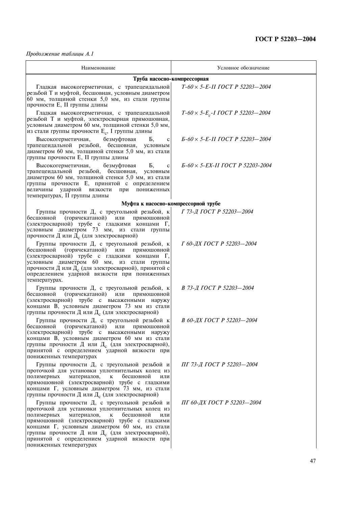Продолжение таблицы А.1

| Наименование                                                                                                                                                                                                                                                                                                                                                                                               | Условное обозначение                      |
|------------------------------------------------------------------------------------------------------------------------------------------------------------------------------------------------------------------------------------------------------------------------------------------------------------------------------------------------------------------------------------------------------------|-------------------------------------------|
|                                                                                                                                                                                                                                                                                                                                                                                                            | Труба насосно-компрессорная               |
| Гладкая высокогерметичная, с трапецеидальной<br>резьбой Т и муфтой, бесшовная, условным диаметром<br>60 мм, толщиной стенки 5,0 мм, из стали группы<br>прочности E, II группы длины                                                                                                                                                                                                                        | $T-60 \times 5-E-II TOCT P 52203 - 2004$  |
| Гладкая высокогерметичная, с трапецеидальной<br>резьбой Т и муфтой, электросварная прямошовная,<br>условным диаметром 60 мм, толщиной стенки 5,0 мм,<br>из стали группы прочности E <sub>c</sub> , I группы длины                                                                                                                                                                                          | $T-60 \times 5-E_c-I$ $TOCT$ P 52203-2004 |
| безмуфтовая<br>Высокогерметичная,<br>Б,<br>$\mathbf c$<br>трапецеидальной резьбой, бесшовная, условным<br>диаметром 60 мм, толщиной стенки 5,0 мм, из стали<br>группы прочности E, II группы длины                                                                                                                                                                                                         | $E-60 \times 5-E-II$ TOCT P 52203-2004    |
| Высокогерметичная,<br>безмуфтовая<br>Б,<br>$\mathbf c$<br>трапецеидальной резьбой, бесшовная,<br>условным<br>диаметром 60 мм, толщиной стенки 5,0 мм, из стали<br>группы прочности Е, принятой с определением<br>величины<br>ударной вязкости<br>при пониженных<br>температурах, II группы длины                                                                                                           | Б-60 × 5-EX-II ГОСТ Р 52203-2004          |
|                                                                                                                                                                                                                                                                                                                                                                                                            | Муфта к насосно-компрессорной трубе       |
| Группы прочности Д, с треугольной резьбой, к<br>прямошовной<br>бесшовной<br>(горячекатаной) или<br>(электросварной) трубе с гладкими концами Г,<br>условным диаметром 73 мм, из стали группы<br>прочности Д или Д <sub>с</sub> (для электросварной)                                                                                                                                                        | Г 73-Д ГОСТ Р 52203-2004                  |
| Группы прочности Д, с треугольной резьбой, к<br>бесшовной<br>(горячекатаной) или<br>прямошовной<br>(электросварной) трубе с гладкими концами Г,<br>условным диаметром 60 мм, из стали группы<br>прочности Д или Д <sub>с</sub> (для электросварной), принятой с<br>определением ударной вязкости при пониженных<br>температурах.                                                                           | Г 60-ДХ ГОСТ Р 52203-2004                 |
| Группы прочности Д, с треугольной резьбой, к<br>бесшовной<br>(горячекатаной) или<br>прямошовной<br>(электросварной) трубе с высаженными наружу<br>концами В, условным диаметром 73 мм из стали<br>группы прочности Д или Д <sub>с</sub> (для электросварной)                                                                                                                                               | В 73-Д ГОСТ Р 52203-2004                  |
| Группы прочности Д, с треугольной резьбой к<br>бесшовной (горячекатаной) или<br>прямошовной<br>(электросварной) трубе с высаженными наружу<br>концами В, условным диаметром 60 мм из стали<br>группы прочности Д или Д <sub>с</sub> (для электросварной),<br>принятой с определением ударной вязкости при<br>пониженных температурах                                                                       | В 60-ДХ ГОСТ Р 52203-2004                 |
| Группы прочности Д, с треугольной резьбой и<br>проточкой для установки уплотнительных колец из<br>бесшовной<br>полимерных<br>материалов.<br>K<br>или<br>прямошовной (электросварной) трубе с гладкими<br>концами Г, условным диаметром 73 мм, из стали<br>группы прочности Д или $\text{I}_c$ (для электросварной)                                                                                         | ПГ 73-Д ГОСТ Р 52203-2004                 |
| Группы прочности Д, с треугольной резьбой и<br>проточкой для установки уплотнительных колец из<br>материалов,<br>бесшовной<br>полимерных<br>$\mathbf K$<br>или<br>прямошовной (электросварной) трубе с гладкими<br>концами Г, условным диаметром 60 мм, из стали<br>группы прочности Д или Д <sub>с</sub> (для электросварной),<br>принятой с определением ударной вязкости при<br>пониженных температурах | ПГ 60-ДХ ГОСТ Р 52203-2004                |
|                                                                                                                                                                                                                                                                                                                                                                                                            | 47                                        |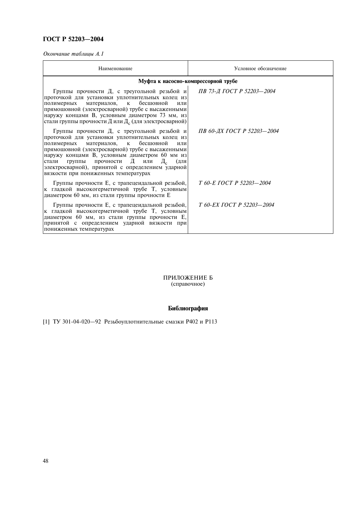Окончание таблицы А.1

| Наименование                                                                                                                                                                                                                                                                                                                                                                                              | Условное обозначение       |
|-----------------------------------------------------------------------------------------------------------------------------------------------------------------------------------------------------------------------------------------------------------------------------------------------------------------------------------------------------------------------------------------------------------|----------------------------|
| Муфта к насосно-компрессорной трубе                                                                                                                                                                                                                                                                                                                                                                       |                            |
| Группы прочности Д, с треугольной резьбой и<br>проточкой для установки уплотнительных колец из<br>полимерных материалов, к бесшовной<br>или<br>прямошовной (электросварной) трубе с высаженными<br>наружу концами В, условным диаметром 73 мм, из<br>стали группы прочности Д или Д. (для электросварной)                                                                                                 | ПВ 73-Д ГОСТ Р 52203-2004  |
| Группы прочности Д, с треугольной резьбой и<br>проточкой для установки уплотнительных колец из<br>бесшовной<br>материалов, к<br>полимерных<br>или<br>прямошовной (электросварной) трубе с высаженными<br>наружу концами В, условным диаметром 60 мм из<br>Д<br>Д.<br>группы прочности<br>стали<br>или<br>(для<br>электросварной), принятой с определением ударной<br>вязкости при пониженных температурах | ПВ 60-ДХ ГОСТ Р 52203-2004 |
| Группы прочности Е, с трапецеидальной резьбой,<br>к гладкой высокогерметичной трубе Т, условным<br>диаметром 60 мм, из стали группы прочности Е                                                                                                                                                                                                                                                           | Т 60-Е ГОСТ Р 52203—2004   |
| Группы прочности Е, с трапецеидальной резьбой,<br>к гладкой высокогерметичной трубе Т, условным<br>диаметром 60 мм, из стали группы прочности Е,<br>принятой с определением ударной вязкости при<br>пониженных температурах                                                                                                                                                                               | T 60-EX FOCT P 52203-2004  |

#### ПРИЛОЖЕНИЕ Б (справочное)

# Библиография

[1] ТУ 301-04-020-92 Резьбоуплотнительные смазки Р402 и Р113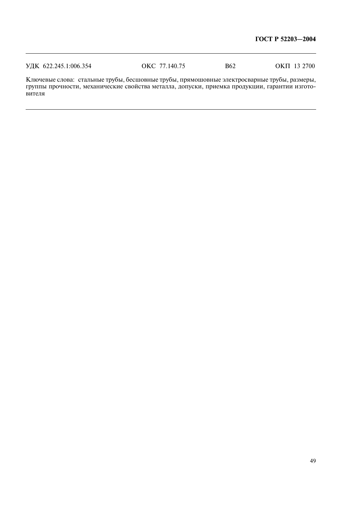|--|

Ключевые слова: стальные трубы, бесшовные трубы, прямошовные электросварные трубы, размеры,<br>группы прочности, механические свойства металла, допуски, приемка продукции, гарантии изготовителя